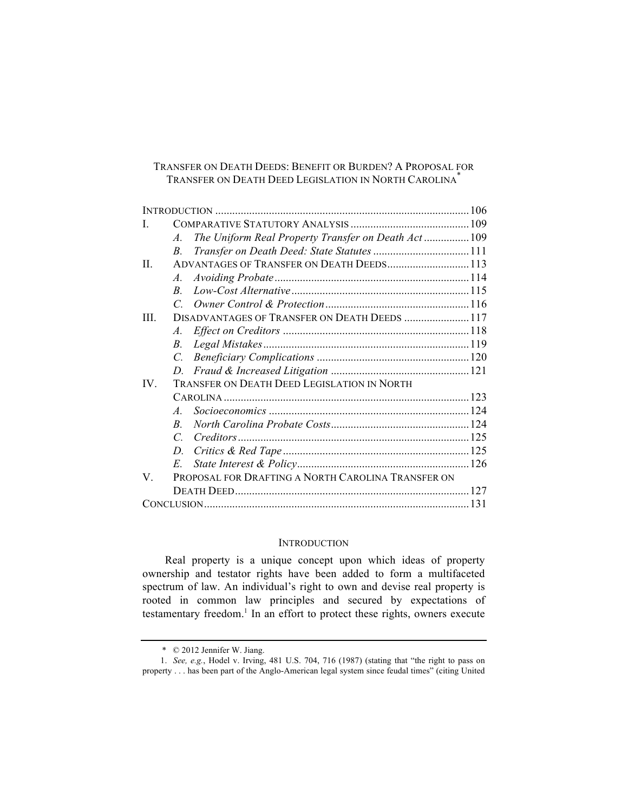## TRANSFER ON DEATH DEEDS: BENEFIT OR BURDEN? A PROPOSAL FOR TRANSFER ON DEATH DEED LEGISLATION IN NORTH CAROLINA\*

| $\mathbf{I}$ |                                                           |  |
|--------------|-----------------------------------------------------------|--|
|              | The Uniform Real Property Transfer on Death Act 109<br>A. |  |
|              | $B_{-}$                                                   |  |
| $\mathbf{H}$ | ADVANTAGES OF TRANSFER ON DEATH DEEDS 113                 |  |
|              | $A_{\cdot}$                                               |  |
|              | $R_{\rm c}$                                               |  |
|              |                                                           |  |
| Ш            | DISADVANTAGES OF TRANSFER ON DEATH DEEDS  117             |  |
|              | $A_{\cdot}$                                               |  |
|              | $B_{\cdot}$                                               |  |
|              |                                                           |  |
|              |                                                           |  |
| $IV_{-}$     | TRANSFER ON DEATH DEED LEGISLATION IN NORTH               |  |
|              |                                                           |  |
|              | $\overline{A}$                                            |  |
|              | $\overline{B}$                                            |  |
|              | $\mathcal{C}$                                             |  |
|              | D.                                                        |  |
|              | $E_{-}$                                                   |  |
| V            | PROPOSAL FOR DRAFTING A NORTH CAROLINA TRANSFER ON        |  |
|              |                                                           |  |
|              |                                                           |  |

## **INTRODUCTION**

Real property is a unique concept upon which ideas of property ownership and testator rights have been added to form a multifaceted spectrum of law. An individual's right to own and devise real property is rooted in common law principles and secured by expectations of testamentary freedom.<sup>1</sup> In an effort to protect these rights, owners execute

 <sup>\* © 2012</sup> Jennifer W. Jiang.

<sup>1.</sup> *See, e.g.*, Hodel v. Irving, 481 U.S. 704, 716 (1987) (stating that "the right to pass on property . . . has been part of the Anglo-American legal system since feudal times" (citing United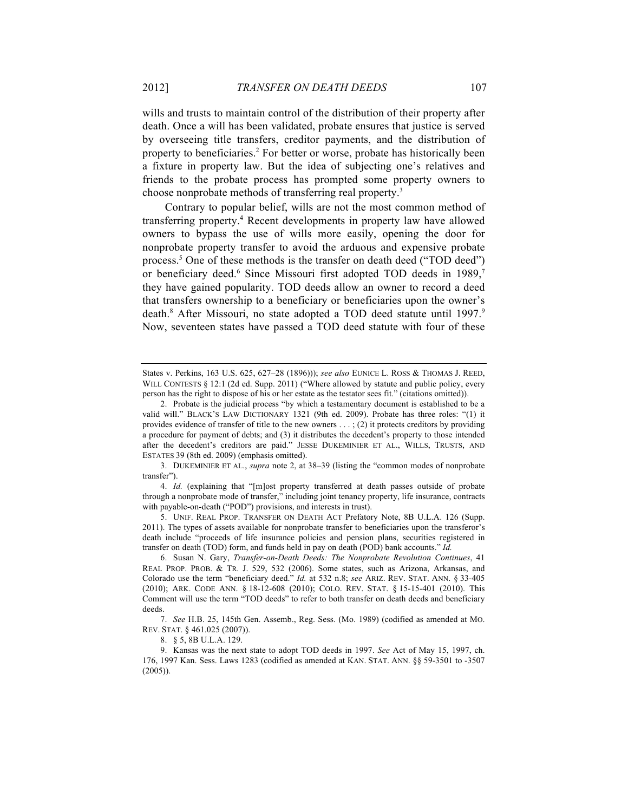wills and trusts to maintain control of the distribution of their property after death. Once a will has been validated, probate ensures that justice is served by overseeing title transfers, creditor payments, and the distribution of property to beneficiaries.<sup>2</sup> For better or worse, probate has historically been a fixture in property law. But the idea of subjecting one's relatives and friends to the probate process has prompted some property owners to choose nonprobate methods of transferring real property.<sup>3</sup>

Contrary to popular belief, wills are not the most common method of transferring property.4 Recent developments in property law have allowed owners to bypass the use of wills more easily, opening the door for nonprobate property transfer to avoid the arduous and expensive probate process.5 One of these methods is the transfer on death deed ("TOD deed") or beneficiary deed.<sup>6</sup> Since Missouri first adopted TOD deeds in 1989,<sup>7</sup> they have gained popularity. TOD deeds allow an owner to record a deed that transfers ownership to a beneficiary or beneficiaries upon the owner's death.<sup>8</sup> After Missouri, no state adopted a TOD deed statute until 1997.<sup>9</sup> Now, seventeen states have passed a TOD deed statute with four of these

3. DUKEMINIER ET AL., *supra* note 2, at 38–39 (listing the "common modes of nonprobate transfer").

4. *Id.* (explaining that "[m]ost property transferred at death passes outside of probate through a nonprobate mode of transfer," including joint tenancy property, life insurance, contracts with payable-on-death ("POD") provisions, and interests in trust).

5. UNIF. REAL PROP. TRANSFER ON DEATH ACT Prefatory Note, 8B U.L.A. 126 (Supp. 2011). The types of assets available for nonprobate transfer to beneficiaries upon the transferor's death include "proceeds of life insurance policies and pension plans, securities registered in transfer on death (TOD) form, and funds held in pay on death (POD) bank accounts." *Id.*

6. Susan N. Gary, *Transfer-on-Death Deeds: The Nonprobate Revolution Continues*, 41 REAL PROP. PROB. & TR. J. 529, 532 (2006). Some states, such as Arizona, Arkansas, and Colorado use the term "beneficiary deed." *Id.* at 532 n.8; *see* ARIZ. REV. STAT. ANN. § 33-405 (2010); ARK. CODE ANN. § 18-12-608 (2010); COLO. REV. STAT. § 15-15-401 (2010). This Comment will use the term "TOD deeds" to refer to both transfer on death deeds and beneficiary deeds.

7. *See* H.B. 25, 145th Gen. Assemb., Reg. Sess. (Mo. 1989) (codified as amended at MO. REV. STAT. § 461.025 (2007)).

8. § 5, 8B U.L.A. 129.

9. Kansas was the next state to adopt TOD deeds in 1997. *See* Act of May 15, 1997, ch. 176, 1997 Kan. Sess. Laws 1283 (codified as amended at KAN. STAT. ANN. §§ 59-3501 to -3507 (2005)).

States v. Perkins, 163 U.S. 625, 627–28 (1896))); *see also* EUNICE L. ROSS & THOMAS J. REED, WILL CONTESTS § 12:1 (2d ed. Supp. 2011) ("Where allowed by statute and public policy, every person has the right to dispose of his or her estate as the testator sees fit." (citations omitted)).

<sup>2.</sup> Probate is the judicial process "by which a testamentary document is established to be a valid will." BLACK'S LAW DICTIONARY 1321 (9th ed. 2009). Probate has three roles: "(1) it provides evidence of transfer of title to the new owners  $\dots$ ; (2) it protects creditors by providing a procedure for payment of debts; and (3) it distributes the decedent's property to those intended after the decedent's creditors are paid." JESSE DUKEMINIER ET AL., WILLS, TRUSTS, AND ESTATES 39 (8th ed. 2009) (emphasis omitted).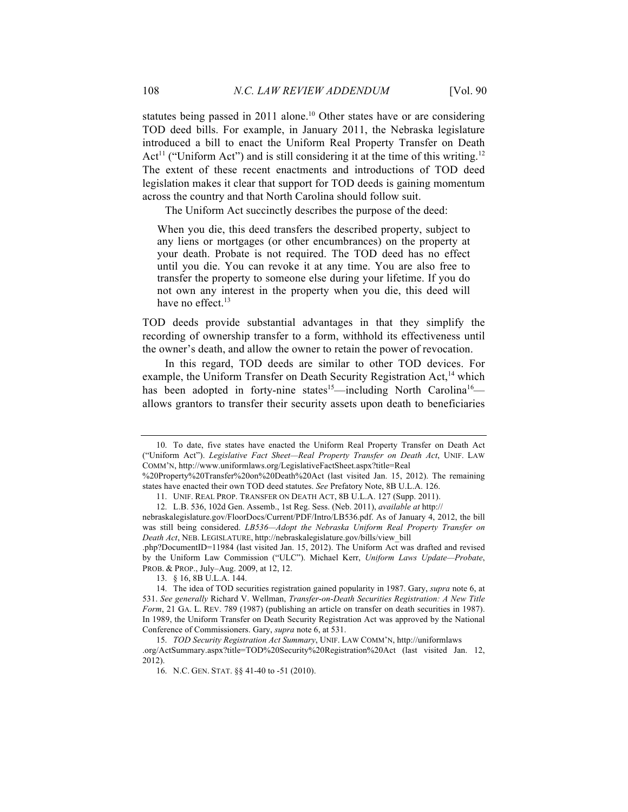statutes being passed in 2011 alone.<sup>10</sup> Other states have or are considering TOD deed bills. For example, in January 2011, the Nebraska legislature introduced a bill to enact the Uniform Real Property Transfer on Death Act<sup>11</sup> ("Uniform Act") and is still considering it at the time of this writing.<sup>12</sup> The extent of these recent enactments and introductions of TOD deed legislation makes it clear that support for TOD deeds is gaining momentum across the country and that North Carolina should follow suit.

The Uniform Act succinctly describes the purpose of the deed:

When you die, this deed transfers the described property, subject to any liens or mortgages (or other encumbrances) on the property at your death. Probate is not required. The TOD deed has no effect until you die. You can revoke it at any time. You are also free to transfer the property to someone else during your lifetime. If you do not own any interest in the property when you die, this deed will have no effect.<sup>13</sup>

TOD deeds provide substantial advantages in that they simplify the recording of ownership transfer to a form, withhold its effectiveness until the owner's death, and allow the owner to retain the power of revocation.

In this regard, TOD deeds are similar to other TOD devices. For example, the Uniform Transfer on Death Security Registration Act,<sup>14</sup> which has been adopted in forty-nine states<sup>15</sup>—including North Carolina<sup>16</sup> allows grantors to transfer their security assets upon death to beneficiaries

<sup>10.</sup> To date, five states have enacted the Uniform Real Property Transfer on Death Act ("Uniform Act"). *Legislative Fact Sheet—Real Property Transfer on Death Act*, UNIF. LAW COMM'N, http://www.uniformlaws.org/LegislativeFactSheet.aspx?title=Real

<sup>%20</sup>Property%20Transfer%20on%20Death%20Act (last visited Jan. 15, 2012). The remaining states have enacted their own TOD deed statutes. *See* Prefatory Note, 8B U.L.A. 126.

<sup>11.</sup> UNIF. REAL PROP. TRANSFER ON DEATH ACT, 8B U.L.A. 127 (Supp. 2011).

<sup>12.</sup> L.B. 536, 102d Gen. Assemb., 1st Reg. Sess. (Neb. 2011), *available at* http://

nebraskalegislature.gov/FloorDocs/Current/PDF/Intro/LB536.pdf. As of January 4, 2012, the bill was still being considered. *LB536—Adopt the Nebraska Uniform Real Property Transfer on Death Act*, NEB. LEGISLATURE, http://nebraskalegislature.gov/bills/view\_bill

<sup>.</sup>php?DocumentID=11984 (last visited Jan. 15, 2012). The Uniform Act was drafted and revised by the Uniform Law Commission ("ULC"). Michael Kerr, *Uniform Laws Update—Probate*, PROB. & PROP., July–Aug. 2009, at 12, 12.

<sup>13.</sup> § 16, 8B U.L.A. 144.

<sup>14.</sup> The idea of TOD securities registration gained popularity in 1987. Gary, *supra* note 6, at 531. *See generally* Richard V. Wellman, *Transfer-on-Death Securities Registration: A New Title Form*, 21 GA. L. REV. 789 (1987) (publishing an article on transfer on death securities in 1987). In 1989, the Uniform Transfer on Death Security Registration Act was approved by the National Conference of Commissioners. Gary, *supra* note 6, at 531.

<sup>15.</sup> *TOD Security Registration Act Summary*, UNIF. LAW COMM'N, http://uniformlaws .org/ActSummary.aspx?title=TOD%20Security%20Registration%20Act (last visited Jan. 12, 2012).

<sup>16.</sup> N.C. GEN. STAT. §§ 41-40 to -51 (2010).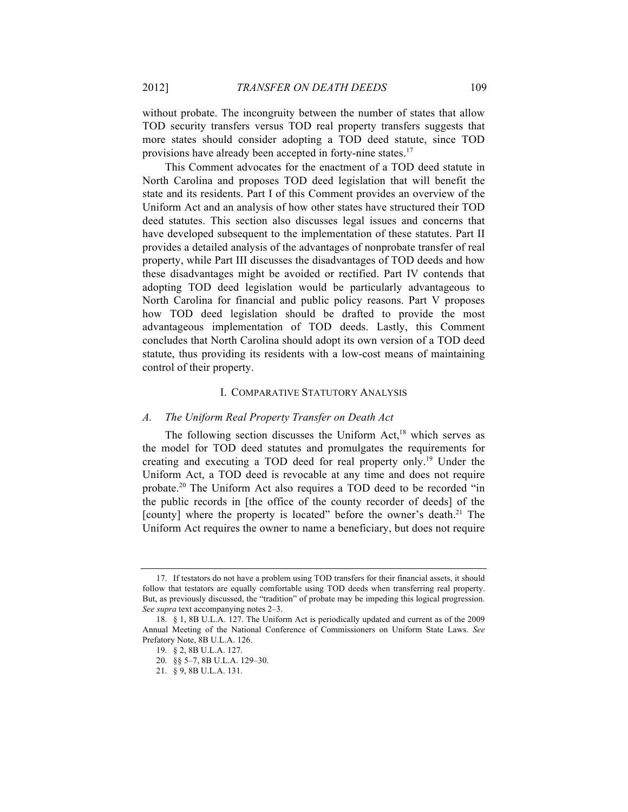without probate. The incongruity between the number of states that allow TOD security transfers versus TOD real property transfers suggests that more states should consider adopting a TOD deed statute, since TOD provisions have already been accepted in forty-nine states.<sup>17</sup>

This Comment advocates for the enactment of a TOD deed statute in North Carolina and proposes TOD deed legislation that will benefit the state and its residents. Part I of this Comment provides an overview of the Uniform Act and an analysis of how other states have structured their TOD deed statutes. This section also discusses legal issues and concerns that have developed subsequent to the implementation of these statutes. Part II provides a detailed analysis of the advantages of nonprobate transfer of real property, while Part III discusses the disadvantages of TOD deeds and how these disadvantages might be avoided or rectified. Part IV contends that adopting TOD deed legislation would be particularly advantageous to North Carolina for financial and public policy reasons. Part V proposes how TOD deed legislation should be drafted to provide the most advantageous implementation of TOD deeds. Lastly, this Comment concludes that North Carolina should adopt its own version of a TOD deed statute, thus providing its residents with a low-cost means of maintaining control of their property.

#### I. COMPARATIVE STATUTORY ANALYSIS

#### *A. The Uniform Real Property Transfer on Death Act*

The following section discusses the Uniform Act,<sup>18</sup> which serves as the model for TOD deed statutes and promulgates the requirements for creating and executing a TOD deed for real property only.19 Under the Uniform Act, a TOD deed is revocable at any time and does not require probate.20 The Uniform Act also requires a TOD deed to be recorded "in the public records in [the office of the county recorder of deeds] of the [county] where the property is located" before the owner's death.<sup>21</sup> The Uniform Act requires the owner to name a beneficiary, but does not require

<sup>17.</sup> If testators do not have a problem using TOD transfers for their financial assets, it should follow that testators are equally comfortable using TOD deeds when transferring real property. But, as previously discussed, the "tradition" of probate may be impeding this logical progression. *See supra* text accompanying notes 2–3.

<sup>18.</sup> § 1, 8B U.L.A. 127. The Uniform Act is periodically updated and current as of the 2009 Annual Meeting of the National Conference of Commissioners on Uniform State Laws. *See*  Prefatory Note, 8B U.L.A. 126.

<sup>19.</sup> § 2, 8B U.L.A. 127.

<sup>20.</sup> §§ 5–7, 8B U.L.A. 129–30.

<sup>21.</sup> § 9, 8B U.L.A. 131.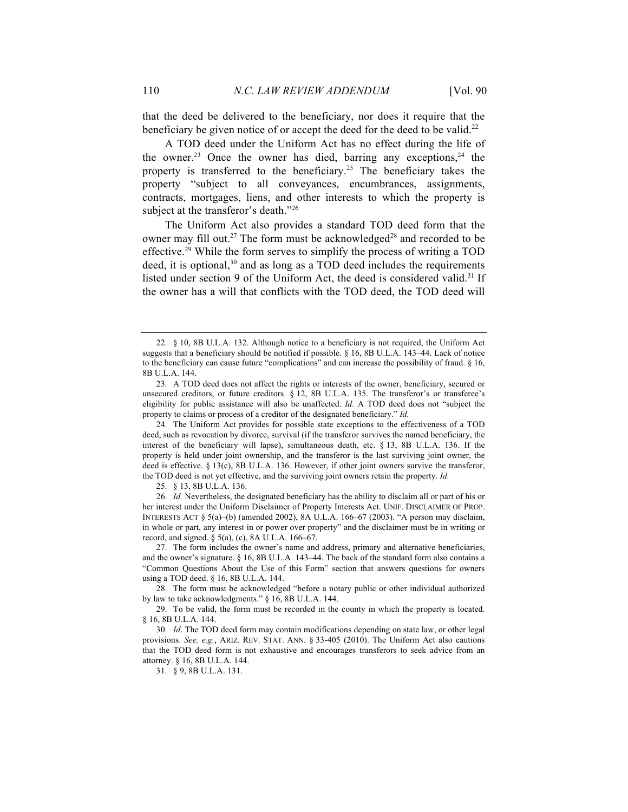that the deed be delivered to the beneficiary, nor does it require that the beneficiary be given notice of or accept the deed for the deed to be valid.<sup>22</sup>

A TOD deed under the Uniform Act has no effect during the life of the owner.<sup>23</sup> Once the owner has died, barring any exceptions,<sup>24</sup> the property is transferred to the beneficiary.<sup>25</sup> The beneficiary takes the property "subject to all conveyances, encumbrances, assignments, contracts, mortgages, liens, and other interests to which the property is subject at the transferor's death."<sup>26</sup>

The Uniform Act also provides a standard TOD deed form that the owner may fill out.<sup>27</sup> The form must be acknowledged<sup>28</sup> and recorded to be effective.<sup>29</sup> While the form serves to simplify the process of writing a TOD deed, it is optional, $30$  and as long as a TOD deed includes the requirements listed under section 9 of the Uniform Act, the deed is considered valid.<sup>31</sup> If the owner has a will that conflicts with the TOD deed, the TOD deed will

24. The Uniform Act provides for possible state exceptions to the effectiveness of a TOD deed, such as revocation by divorce, survival (if the transferor survives the named beneficiary, the interest of the beneficiary will lapse), simultaneous death, etc. § 13, 8B U.L.A. 136. If the property is held under joint ownership, and the transferor is the last surviving joint owner, the deed is effective. § 13(c), 8B U.L.A. 136. However, if other joint owners survive the transferor, the TOD deed is not yet effective, and the surviving joint owners retain the property. *Id.*

25. § 13, 8B U.L.A. 136.

26. *Id.* Nevertheless, the designated beneficiary has the ability to disclaim all or part of his or her interest under the Uniform Disclaimer of Property Interests Act. UNIF. DISCLAIMER OF PROP. INTERESTS ACT  $\S$  5(a)–(b) (amended 2002), 8A U.L.A. 166–67 (2003). "A person may disclaim, in whole or part, any interest in or power over property" and the disclaimer must be in writing or record, and signed.  $\S$  5(a), (c), 8A U.L.A. 166–67.

27. The form includes the owner's name and address, primary and alternative beneficiaries, and the owner's signature. § 16, 8B U.L.A. 143–44. The back of the standard form also contains a "Common Questions About the Use of this Form" section that answers questions for owners using a TOD deed. § 16, 8B U.L.A. 144.

28. The form must be acknowledged "before a notary public or other individual authorized by law to take acknowledgments." § 16, 8B U.L.A. 144.

29. To be valid, the form must be recorded in the county in which the property is located. § 16, 8B U.L.A. 144.

30. *Id*. The TOD deed form may contain modifications depending on state law, or other legal provisions. *See, e.g.*, ARIZ. REV. STAT. ANN. § 33-405 (2010). The Uniform Act also cautions that the TOD deed form is not exhaustive and encourages transferors to seek advice from an attorney. § 16, 8B U.L.A. 144.

31. § 9, 8B U.L.A. 131.

<sup>22.</sup> § 10, 8B U.L.A. 132. Although notice to a beneficiary is not required, the Uniform Act suggests that a beneficiary should be notified if possible. § 16, 8B U.L.A. 143–44. Lack of notice to the beneficiary can cause future "complications" and can increase the possibility of fraud. § 16, 8B U.L.A. 144.

<sup>23.</sup> A TOD deed does not affect the rights or interests of the owner, beneficiary, secured or unsecured creditors, or future creditors. § 12, 8B U.L.A. 135. The transferor's or transferee's eligibility for public assistance will also be unaffected. *Id.* A TOD deed does not "subject the property to claims or process of a creditor of the designated beneficiary." *Id.*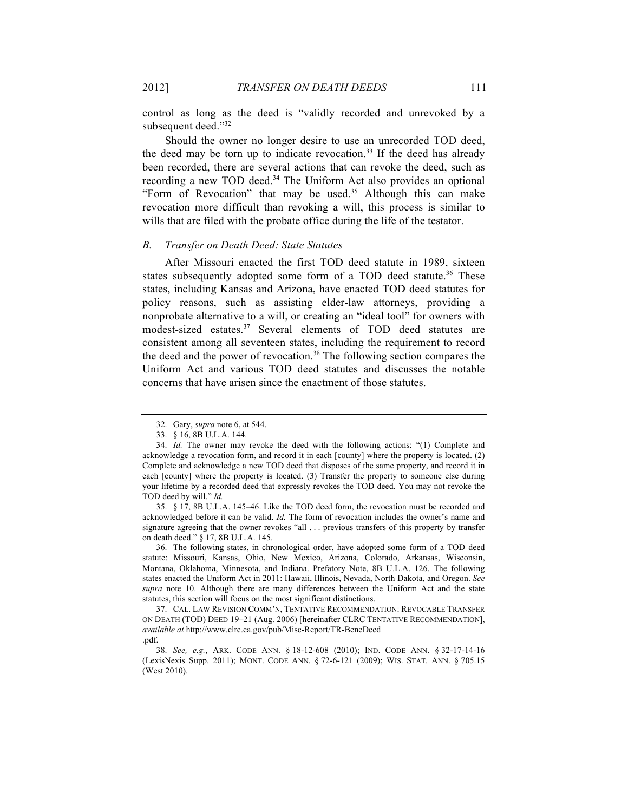control as long as the deed is "validly recorded and unrevoked by a subsequent deed."32

Should the owner no longer desire to use an unrecorded TOD deed, the deed may be torn up to indicate revocation.<sup>33</sup> If the deed has already been recorded, there are several actions that can revoke the deed, such as recording a new TOD deed.<sup>34</sup> The Uniform Act also provides an optional "Form of Revocation" that may be used.<sup>35</sup> Although this can make revocation more difficult than revoking a will, this process is similar to wills that are filed with the probate office during the life of the testator.

#### *B. Transfer on Death Deed: State Statutes*

After Missouri enacted the first TOD deed statute in 1989, sixteen states subsequently adopted some form of a TOD deed statute.<sup>36</sup> These states, including Kansas and Arizona, have enacted TOD deed statutes for policy reasons, such as assisting elder-law attorneys, providing a nonprobate alternative to a will, or creating an "ideal tool" for owners with modest-sized estates.<sup>37</sup> Several elements of TOD deed statutes are consistent among all seventeen states, including the requirement to record the deed and the power of revocation.<sup>38</sup> The following section compares the Uniform Act and various TOD deed statutes and discusses the notable concerns that have arisen since the enactment of those statutes.

35. § 17, 8B U.L.A. 145–46. Like the TOD deed form, the revocation must be recorded and acknowledged before it can be valid. *Id.* The form of revocation includes the owner's name and signature agreeing that the owner revokes "all . . . previous transfers of this property by transfer on death deed." § 17, 8B U.L.A. 145.

36. The following states, in chronological order, have adopted some form of a TOD deed statute: Missouri, Kansas, Ohio, New Mexico, Arizona, Colorado, Arkansas, Wisconsin, Montana, Oklahoma, Minnesota, and Indiana. Prefatory Note, 8B U.L.A. 126. The following states enacted the Uniform Act in 2011: Hawaii, Illinois, Nevada, North Dakota, and Oregon. *See supra* note 10. Although there are many differences between the Uniform Act and the state statutes, this section will focus on the most significant distinctions.

<sup>32.</sup> Gary, *supra* note 6, at 544.

<sup>33.</sup> § 16, 8B U.L.A. 144.

<sup>34.</sup> *Id.* The owner may revoke the deed with the following actions: "(1) Complete and acknowledge a revocation form, and record it in each [county] where the property is located. (2) Complete and acknowledge a new TOD deed that disposes of the same property, and record it in each [county] where the property is located. (3) Transfer the property to someone else during your lifetime by a recorded deed that expressly revokes the TOD deed. You may not revoke the TOD deed by will." *Id.*

<sup>37.</sup> CAL. LAW REVISION COMM'N, TENTATIVE RECOMMENDATION: REVOCABLE TRANSFER ON DEATH (TOD) DEED 19–21 (Aug. 2006) [hereinafter CLRC TENTATIVE RECOMMENDATION], *available at* http://www.clrc.ca.gov/pub/Misc-Report/TR-BeneDeed .pdf.

<sup>38.</sup> *See, e.g.*, ARK. CODE ANN. § 18-12-608 (2010); IND. CODE ANN. § 32-17-14-16 (LexisNexis Supp. 2011); MONT. CODE ANN. § 72-6-121 (2009); WIS. STAT. ANN. § 705.15 (West 2010).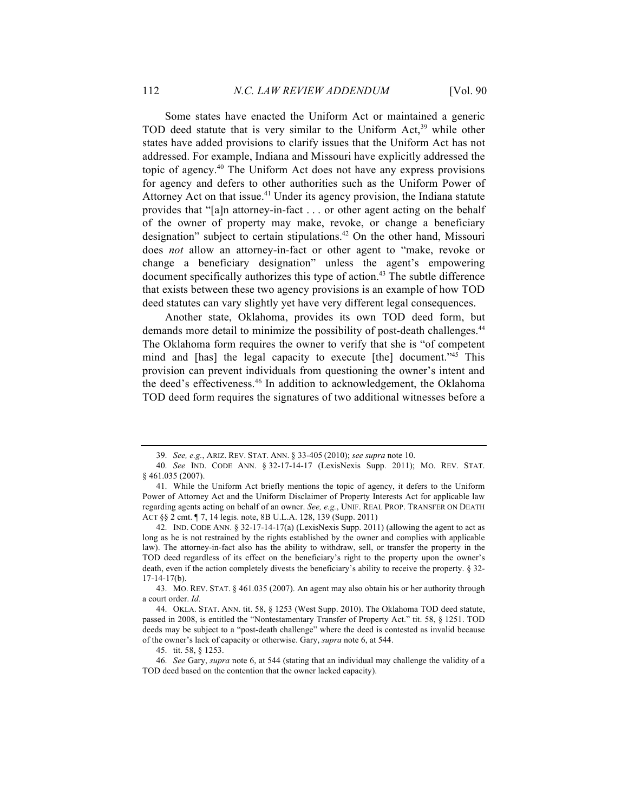Some states have enacted the Uniform Act or maintained a generic TOD deed statute that is very similar to the Uniform Act,<sup>39</sup> while other states have added provisions to clarify issues that the Uniform Act has not addressed. For example, Indiana and Missouri have explicitly addressed the topic of agency.40 The Uniform Act does not have any express provisions for agency and defers to other authorities such as the Uniform Power of Attorney Act on that issue.<sup>41</sup> Under its agency provision, the Indiana statute provides that "[a]n attorney-in-fact . . . or other agent acting on the behalf of the owner of property may make, revoke, or change a beneficiary designation" subject to certain stipulations.<sup>42</sup> On the other hand, Missouri does *not* allow an attorney-in-fact or other agent to "make, revoke or change a beneficiary designation" unless the agent's empowering document specifically authorizes this type of action.<sup>43</sup> The subtle difference that exists between these two agency provisions is an example of how TOD deed statutes can vary slightly yet have very different legal consequences.

Another state, Oklahoma, provides its own TOD deed form, but demands more detail to minimize the possibility of post-death challenges.<sup>44</sup> The Oklahoma form requires the owner to verify that she is "of competent mind and [has] the legal capacity to execute [the] document."<sup>45</sup> This provision can prevent individuals from questioning the owner's intent and the deed's effectiveness.<sup>46</sup> In addition to acknowledgement, the Oklahoma TOD deed form requires the signatures of two additional witnesses before a

43. MO. REV. STAT. § 461.035 (2007). An agent may also obtain his or her authority through a court order. *Id.*

<sup>39.</sup> *See, e.g.*, ARIZ. REV. STAT. ANN. § 33-405 (2010); *see supra* note 10.

<sup>40.</sup> *See* IND. CODE ANN. § 32-17-14-17 (LexisNexis Supp. 2011); MO. REV. STAT. § 461.035 (2007).

<sup>41.</sup> While the Uniform Act briefly mentions the topic of agency, it defers to the Uniform Power of Attorney Act and the Uniform Disclaimer of Property Interests Act for applicable law regarding agents acting on behalf of an owner. *See, e.g.*, UNIF. REAL PROP. TRANSFER ON DEATH ACT §§ 2 cmt. ¶ 7, 14 legis. note, 8B U.L.A. 128, 139 (Supp. 2011)

<sup>42.</sup> IND. CODE ANN. § 32-17-14-17(a) (LexisNexis Supp. 2011) (allowing the agent to act as long as he is not restrained by the rights established by the owner and complies with applicable law). The attorney-in-fact also has the ability to withdraw, sell, or transfer the property in the TOD deed regardless of its effect on the beneficiary's right to the property upon the owner's death, even if the action completely divests the beneficiary's ability to receive the property. § 32- 17-14-17(b).

<sup>44.</sup> OKLA. STAT. ANN. tit. 58, § 1253 (West Supp. 2010). The Oklahoma TOD deed statute, passed in 2008, is entitled the "Nontestamentary Transfer of Property Act." tit. 58, § 1251. TOD deeds may be subject to a "post-death challenge" where the deed is contested as invalid because of the owner's lack of capacity or otherwise. Gary, *supra* note 6, at 544.

<sup>45.</sup> tit. 58, § 1253.

<sup>46.</sup> *See* Gary, *supra* note 6, at 544 (stating that an individual may challenge the validity of a TOD deed based on the contention that the owner lacked capacity).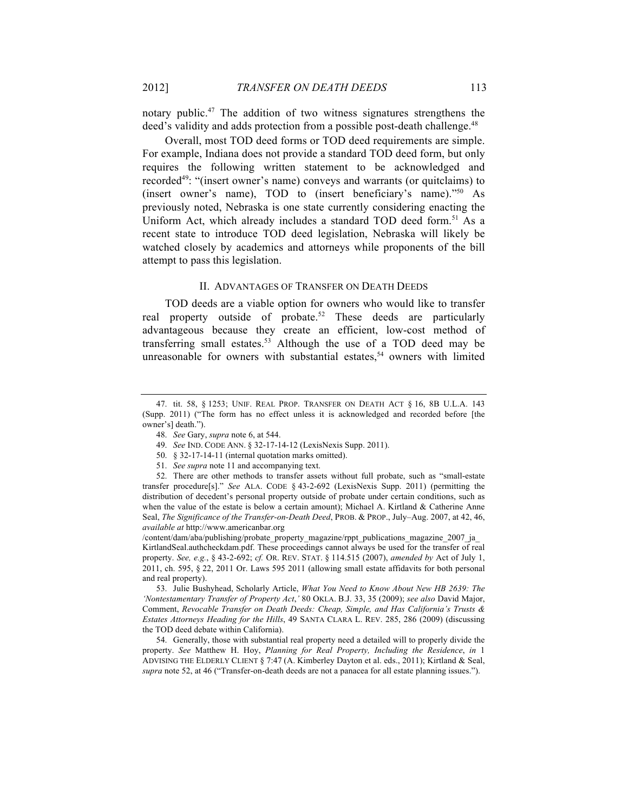notary public.47 The addition of two witness signatures strengthens the deed's validity and adds protection from a possible post-death challenge.<sup>48</sup>

Overall, most TOD deed forms or TOD deed requirements are simple. For example, Indiana does not provide a standard TOD deed form, but only requires the following written statement to be acknowledged and recorded<sup>49</sup>: "(insert owner's name) conveys and warrants (or quitclaims) to (insert owner's name), TOD to (insert beneficiary's name)."50 As previously noted, Nebraska is one state currently considering enacting the Uniform Act, which already includes a standard TOD deed form.<sup>51</sup> As a recent state to introduce TOD deed legislation, Nebraska will likely be watched closely by academics and attorneys while proponents of the bill attempt to pass this legislation.

#### II. ADVANTAGES OF TRANSFER ON DEATH DEEDS

TOD deeds are a viable option for owners who would like to transfer real property outside of probate.<sup>52</sup> These deeds are particularly advantageous because they create an efficient, low-cost method of transferring small estates.<sup>53</sup> Although the use of a TOD deed may be unreasonable for owners with substantial estates, $54$  owners with limited

/content/dam/aba/publishing/probate\_property\_magazine/rppt\_publications\_magazine\_2007\_ja\_ KirtlandSeal.authcheckdam.pdf. These proceedings cannot always be used for the transfer of real property. *See, e.g.*, § 43-2-692; *cf.* OR. REV. STAT. § 114.515 (2007), *amended by* Act of July 1, 2011, ch. 595, § 22, 2011 Or. Laws 595 2011 (allowing small estate affidavits for both personal and real property).

53. Julie Bushyhead, Scholarly Article, *What You Need to Know About New HB 2639: The 'Nontestamentary Transfer of Property Act*,*'* 80 OKLA. B.J. 33, 35 (2009); *see also* David Major, Comment, *Revocable Transfer on Death Deeds: Cheap, Simple, and Has California's Trusts & Estates Attorneys Heading for the Hills*, 49 SANTA CLARA L. REV. 285, 286 (2009) (discussing the TOD deed debate within California).

54. Generally, those with substantial real property need a detailed will to properly divide the property. *See* Matthew H. Hoy, *Planning for Real Property, Including the Residence*, *in* 1 ADVISING THE ELDERLY CLIENT § 7:47 (A. Kimberley Dayton et al. eds., 2011); Kirtland & Seal, *supra* note 52, at 46 ("Transfer-on-death deeds are not a panacea for all estate planning issues.").

<sup>47.</sup> tit. 58, § 1253; UNIF. REAL PROP. TRANSFER ON DEATH ACT § 16, 8B U.L.A. 143 (Supp. 2011) ("The form has no effect unless it is acknowledged and recorded before [the owner's] death.").

<sup>48.</sup> *See* Gary, *supra* note 6, at 544.

<sup>49.</sup> *See* IND. CODE ANN. § 32-17-14-12 (LexisNexis Supp. 2011).

<sup>50.</sup> § 32-17-14-11 (internal quotation marks omitted).

<sup>51.</sup> *See supra* note 11 and accompanying text.

<sup>52.</sup> There are other methods to transfer assets without full probate, such as "small-estate transfer procedure[s]." *See* ALA. CODE § 43-2-692 (LexisNexis Supp. 2011) (permitting the distribution of decedent's personal property outside of probate under certain conditions, such as when the value of the estate is below a certain amount); Michael A. Kirtland & Catherine Anne Seal, *The Significance of the Transfer-on-Death Deed*, PROB. & PROP., July–Aug. 2007, at 42, 46, *available at* http://www.americanbar.org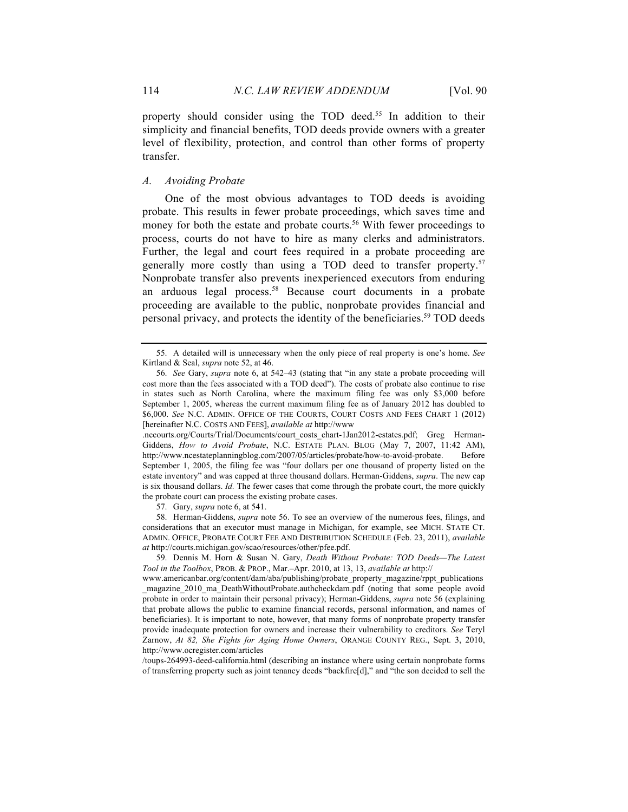property should consider using the TOD deed.<sup>55</sup> In addition to their simplicity and financial benefits, TOD deeds provide owners with a greater level of flexibility, protection, and control than other forms of property transfer.

## *A. Avoiding Probate*

One of the most obvious advantages to TOD deeds is avoiding probate. This results in fewer probate proceedings, which saves time and money for both the estate and probate courts.<sup>56</sup> With fewer proceedings to process, courts do not have to hire as many clerks and administrators. Further, the legal and court fees required in a probate proceeding are generally more costly than using a TOD deed to transfer property.<sup>57</sup> Nonprobate transfer also prevents inexperienced executors from enduring an arduous legal process.<sup>58</sup> Because court documents in a probate proceeding are available to the public, nonprobate provides financial and personal privacy, and protects the identity of the beneficiaries.<sup>59</sup> TOD deeds

.nccourts.org/Courts/Trial/Documents/court\_costs\_chart-1Jan2012-estates.pdf; Greg Herman-Giddens, *How to Avoid Probate*, N.C. ESTATE PLAN. BLOG (May 7, 2007, 11:42 AM), http://www.ncestateplanningblog.com/2007/05/articles/probate/how-to-avoid-probate. Before September 1, 2005, the filing fee was "four dollars per one thousand of property listed on the estate inventory" and was capped at three thousand dollars. Herman-Giddens, *supra*. The new cap is six thousand dollars. *Id.* The fewer cases that come through the probate court, the more quickly the probate court can process the existing probate cases.

57. Gary, *supra* note 6, at 541.

58. Herman-Giddens, *supra* note 56. To see an overview of the numerous fees, filings, and considerations that an executor must manage in Michigan, for example, see MICH. STATE CT. ADMIN. OFFICE, PROBATE COURT FEE AND DISTRIBUTION SCHEDULE (Feb. 23, 2011), *available at* http://courts.michigan.gov/scao/resources/other/pfee.pdf.

/toups-264993-deed-california.html (describing an instance where using certain nonprobate forms of transferring property such as joint tenancy deeds "backfire[d]," and "the son decided to sell the

<sup>55.</sup> A detailed will is unnecessary when the only piece of real property is one's home. *See*  Kirtland & Seal, *supra* note 52, at 46.

<sup>56.</sup> *See* Gary, *supra* note 6, at 542–43 (stating that "in any state a probate proceeding will cost more than the fees associated with a TOD deed"). The costs of probate also continue to rise in states such as North Carolina, where the maximum filing fee was only \$3,000 before September 1, 2005, whereas the current maximum filing fee as of January 2012 has doubled to \$6,000. *See* N.C. ADMIN. OFFICE OF THE COURTS, COURT COSTS AND FEES CHART 1 (2012) [hereinafter N.C. COSTS AND FEES], *available at* http://www

<sup>59.</sup> Dennis M. Horn & Susan N. Gary, *Death Without Probate: TOD Deeds—The Latest Tool in the Toolbox*, PROB. & PROP., Mar.–Apr. 2010, at 13, 13, *available at* http://

www.americanbar.org/content/dam/aba/publishing/probate\_property\_magazine/rppt\_publications magazine 2010 ma DeathWithoutProbate.authcheckdam.pdf (noting that some people avoid probate in order to maintain their personal privacy); Herman-Giddens, *supra* note 56 (explaining that probate allows the public to examine financial records, personal information, and names of beneficiaries). It is important to note, however, that many forms of nonprobate property transfer provide inadequate protection for owners and increase their vulnerability to creditors. *See* Teryl Zarnow, *At 82, She Fights for Aging Home Owners*, ORANGE COUNTY REG., Sept. 3, 2010, http://www.ocregister.com/articles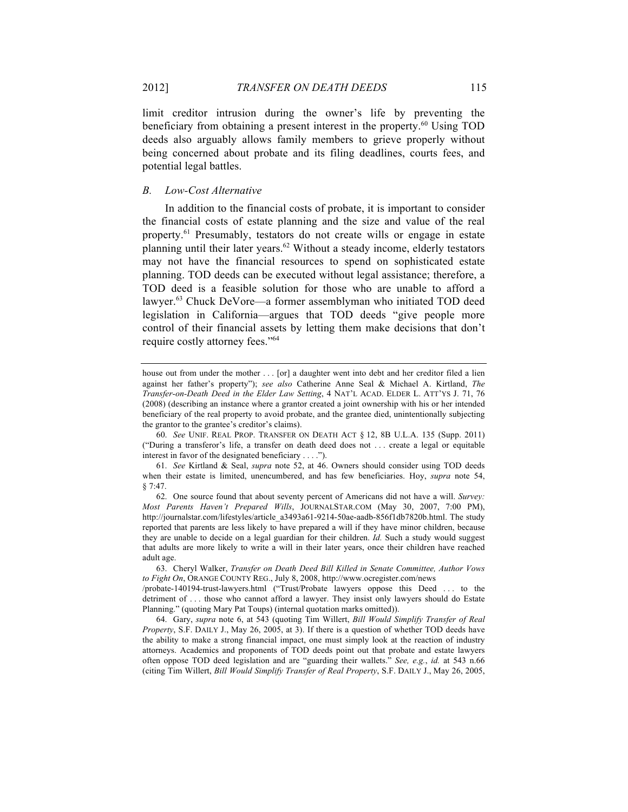limit creditor intrusion during the owner's life by preventing the beneficiary from obtaining a present interest in the property.<sup>60</sup> Using TOD deeds also arguably allows family members to grieve properly without being concerned about probate and its filing deadlines, courts fees, and potential legal battles.

## *B. Low-Cost Alternative*

In addition to the financial costs of probate, it is important to consider the financial costs of estate planning and the size and value of the real property.61 Presumably, testators do not create wills or engage in estate planning until their later years.<sup>62</sup> Without a steady income, elderly testators may not have the financial resources to spend on sophisticated estate planning. TOD deeds can be executed without legal assistance; therefore, a TOD deed is a feasible solution for those who are unable to afford a lawyer.<sup>63</sup> Chuck DeVore—a former assemblyman who initiated TOD deed legislation in California—argues that TOD deeds "give people more control of their financial assets by letting them make decisions that don't require costly attorney fees."64

house out from under the mother . . . [or] a daughter went into debt and her creditor filed a lien against her father's property"); *see also* Catherine Anne Seal & Michael A. Kirtland, *The Transfer-on-Death Deed in the Elder Law Setting*, 4 NAT'L ACAD. ELDER L. ATT'YS J. 71, 76 (2008) (describing an instance where a grantor created a joint ownership with his or her intended beneficiary of the real property to avoid probate, and the grantee died, unintentionally subjecting the grantor to the grantee's creditor's claims).

<sup>60.</sup> *See* UNIF. REAL PROP. TRANSFER ON DEATH ACT § 12, 8B U.L.A. 135 (Supp. 2011) ("During a transferor's life, a transfer on death deed does not . . . create a legal or equitable interest in favor of the designated beneficiary . . . .").

<sup>61.</sup> *See* Kirtland & Seal, *supra* note 52, at 46. Owners should consider using TOD deeds when their estate is limited, unencumbered, and has few beneficiaries. Hoy, *supra* note 54, § 7:47.

<sup>62.</sup> One source found that about seventy percent of Americans did not have a will. *Survey: Most Parents Haven't Prepared Wills*, JOURNALSTAR.COM (May 30, 2007, 7:00 PM), http://journalstar.com/lifestyles/article\_a3493a61-9214-50ae-aadb-856f1db7820b.html. The study reported that parents are less likely to have prepared a will if they have minor children, because they are unable to decide on a legal guardian for their children. *Id.* Such a study would suggest that adults are more likely to write a will in their later years, once their children have reached adult age.

<sup>63.</sup> Cheryl Walker, *Transfer on Death Deed Bill Killed in Senate Committee, Author Vows to Fight On*, ORANGE COUNTY REG., July 8, 2008, http://www.ocregister.com/news

<sup>/</sup>probate-140194-trust-lawyers.html ("Trust/Probate lawyers oppose this Deed . . . to the detriment of . . . those who cannot afford a lawyer. They insist only lawyers should do Estate Planning." (quoting Mary Pat Toups) (internal quotation marks omitted)).

<sup>64.</sup> Gary, *supra* note 6, at 543 (quoting Tim Willert, *Bill Would Simplify Transfer of Real Property*, S.F. DAILY J., May 26, 2005, at 3). If there is a question of whether TOD deeds have the ability to make a strong financial impact, one must simply look at the reaction of industry attorneys. Academics and proponents of TOD deeds point out that probate and estate lawyers often oppose TOD deed legislation and are "guarding their wallets." *See, e.g.*, *id.* at 543 n.66 (citing Tim Willert, *Bill Would Simplify Transfer of Real Property*, S.F. DAILY J., May 26, 2005,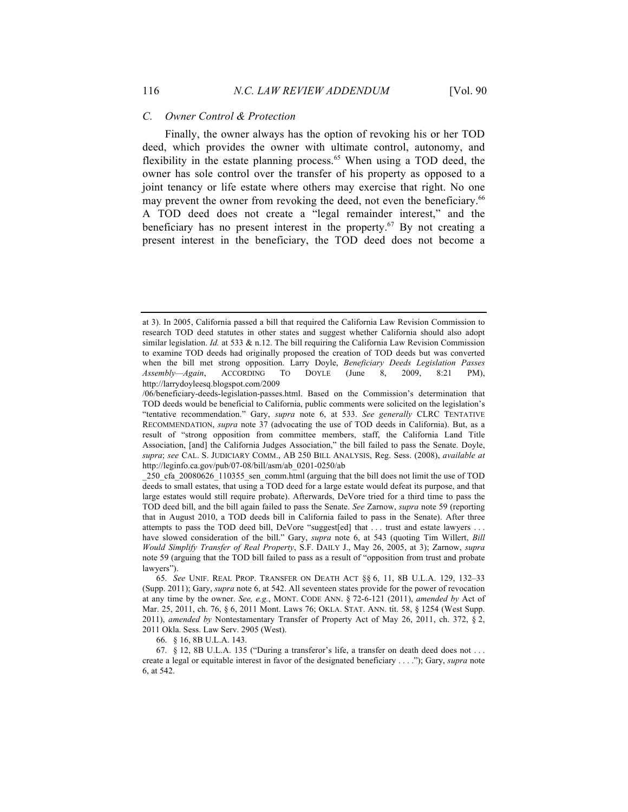#### *C. Owner Control & Protection*

Finally, the owner always has the option of revoking his or her TOD deed, which provides the owner with ultimate control, autonomy, and flexibility in the estate planning process.<sup>65</sup> When using a TOD deed, the owner has sole control over the transfer of his property as opposed to a joint tenancy or life estate where others may exercise that right. No one may prevent the owner from revoking the deed, not even the beneficiary.<sup>66</sup> A TOD deed does not create a "legal remainder interest," and the beneficiary has no present interest in the property.<sup>67</sup> By not creating a present interest in the beneficiary, the TOD deed does not become a

66. § 16, 8B U.L.A. 143.

at 3). In 2005, California passed a bill that required the California Law Revision Commission to research TOD deed statutes in other states and suggest whether California should also adopt similar legislation.  $Id$ . at 533  $\&$  n.12. The bill requiring the California Law Revision Commission to examine TOD deeds had originally proposed the creation of TOD deeds but was converted when the bill met strong opposition. Larry Doyle, *Beneficiary Deeds Legislation Passes Assembly—Again*, ACCORDING TO DOYLE (June 8, 2009, 8:21 PM), http://larrydoyleesq.blogspot.com/2009

<sup>/06/</sup>beneficiary-deeds-legislation-passes.html. Based on the Commission's determination that TOD deeds would be beneficial to California, public comments were solicited on the legislation's "tentative recommendation." Gary, *supra* note 6, at 533. *See generally* CLRC TENTATIVE RECOMMENDATION, *supra* note 37 (advocating the use of TOD deeds in California). But, as a result of "strong opposition from committee members, staff, the California Land Title Association, [and] the California Judges Association," the bill failed to pass the Senate. Doyle, *supra*; *see* CAL. S. JUDICIARY COMM., AB 250 BILL ANALYSIS, Reg. Sess. (2008), *available at*  http://leginfo.ca.gov/pub/07-08/bill/asm/ab\_0201-0250/ab

\_250\_cfa\_20080626\_110355\_sen\_comm.html (arguing that the bill does not limit the use of TOD deeds to small estates, that using a TOD deed for a large estate would defeat its purpose, and that large estates would still require probate). Afterwards, DeVore tried for a third time to pass the TOD deed bill, and the bill again failed to pass the Senate. *See* Zarnow, *supra* note 59 (reporting that in August 2010, a TOD deeds bill in California failed to pass in the Senate). After three attempts to pass the TOD deed bill, DeVore "suggest[ed] that ... trust and estate lawyers ... have slowed consideration of the bill." Gary, *supra* note 6, at 543 (quoting Tim Willert, *Bill Would Simplify Transfer of Real Property*, S.F. DAILY J., May 26, 2005, at 3); Zarnow, *supra* note 59 (arguing that the TOD bill failed to pass as a result of "opposition from trust and probate lawyers").

<sup>65.</sup> *See* UNIF. REAL PROP. TRANSFER ON DEATH ACT §§ 6, 11, 8B U.L.A. 129, 132–33 (Supp. 2011); Gary, *supra* note 6, at 542. All seventeen states provide for the power of revocation at any time by the owner. *See, e.g.*, MONT. CODE ANN. § 72-6-121 (2011), *amended by* Act of Mar. 25, 2011, ch. 76, § 6, 2011 Mont. Laws 76; OKLA. STAT. ANN. tit. 58, § 1254 (West Supp. 2011), *amended by* Nontestamentary Transfer of Property Act of May 26, 2011, ch. 372, § 2, 2011 Okla. Sess. Law Serv. 2905 (West).

<sup>67.</sup> § 12, 8B U.L.A. 135 ("During a transferor's life, a transfer on death deed does not . . . create a legal or equitable interest in favor of the designated beneficiary . . . ."); Gary, *supra* note 6, at 542.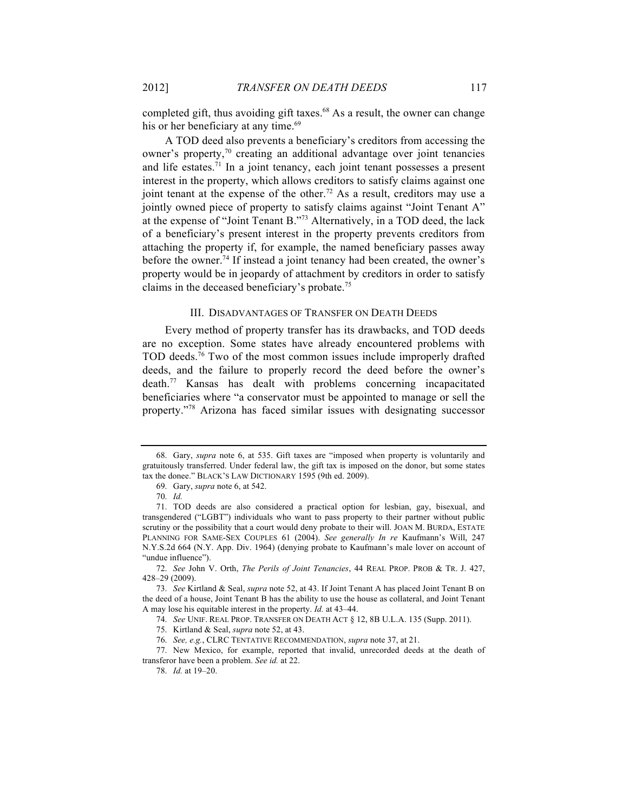completed gift, thus avoiding gift taxes.<sup>68</sup> As a result, the owner can change his or her beneficiary at any time.<sup>69</sup>

A TOD deed also prevents a beneficiary's creditors from accessing the owner's property,<sup>70</sup> creating an additional advantage over joint tenancies and life estates. $<sup>71</sup>$  In a joint tenancy, each joint tenant possesses a present</sup> interest in the property, which allows creditors to satisfy claims against one joint tenant at the expense of the other.<sup>72</sup> As a result, creditors may use a jointly owned piece of property to satisfy claims against "Joint Tenant A" at the expense of "Joint Tenant B."73 Alternatively, in a TOD deed, the lack of a beneficiary's present interest in the property prevents creditors from attaching the property if, for example, the named beneficiary passes away before the owner.<sup>74</sup> If instead a joint tenancy had been created, the owner's property would be in jeopardy of attachment by creditors in order to satisfy claims in the deceased beneficiary's probate.75

#### III. DISADVANTAGES OF TRANSFER ON DEATH DEEDS

Every method of property transfer has its drawbacks, and TOD deeds are no exception. Some states have already encountered problems with TOD deeds. ${}^{76}$  Two of the most common issues include improperly drafted deeds, and the failure to properly record the deed before the owner's death.77 Kansas has dealt with problems concerning incapacitated beneficiaries where "a conservator must be appointed to manage or sell the property."78 Arizona has faced similar issues with designating successor

74. *See* UNIF. REAL PROP. TRANSFER ON DEATH ACT § 12, 8B U.L.A. 135 (Supp. 2011).

<sup>68.</sup> Gary, *supra* note 6, at 535. Gift taxes are "imposed when property is voluntarily and gratuitously transferred. Under federal law, the gift tax is imposed on the donor, but some states tax the donee." BLACK'S LAW DICTIONARY 1595 (9th ed. 2009).

<sup>69.</sup> Gary, *supra* note 6, at 542.

<sup>70.</sup> *Id.*

<sup>71.</sup> TOD deeds are also considered a practical option for lesbian, gay, bisexual, and transgendered ("LGBT") individuals who want to pass property to their partner without public scrutiny or the possibility that a court would deny probate to their will. JOAN M. BURDA, ESTATE PLANNING FOR SAME-SEX COUPLES 61 (2004). *See generally In re* Kaufmann's Will, 247 N.Y.S.2d 664 (N.Y. App. Div. 1964) (denying probate to Kaufmann's male lover on account of "undue influence").

<sup>72.</sup> *See* John V. Orth, *The Perils of Joint Tenancies*, 44 REAL PROP. PROB & TR. J. 427, 428–29 (2009).

<sup>73.</sup> *See* Kirtland & Seal, *supra* note 52, at 43. If Joint Tenant A has placed Joint Tenant B on the deed of a house, Joint Tenant B has the ability to use the house as collateral, and Joint Tenant A may lose his equitable interest in the property. *Id.* at 43–44.

<sup>75.</sup> Kirtland & Seal, *supra* note 52, at 43.

<sup>76.</sup> *See, e.g.*, CLRC TENTATIVE RECOMMENDATION, *supra* note 37, at 21.

<sup>77.</sup> New Mexico, for example, reported that invalid, unrecorded deeds at the death of transferor have been a problem. *See id.* at 22.

<sup>78.</sup> *Id.* at 19–20.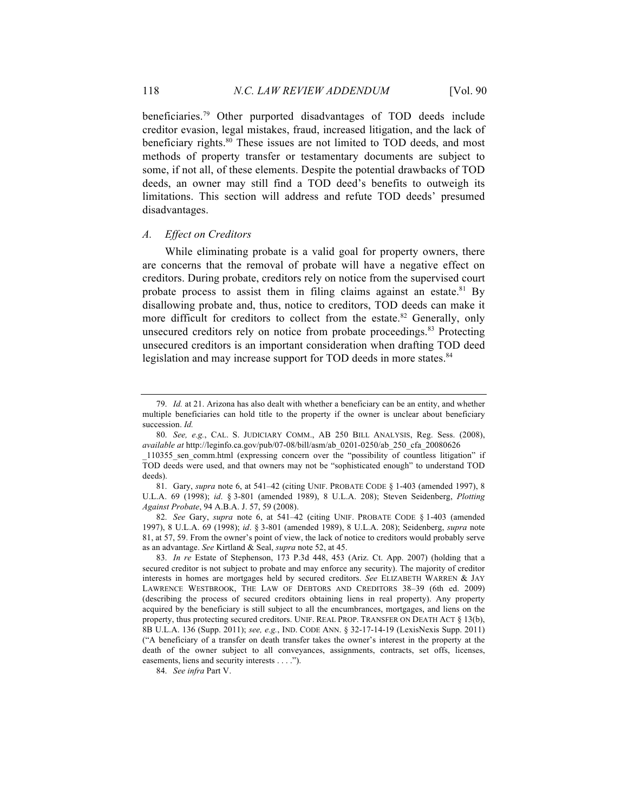beneficiaries.79 Other purported disadvantages of TOD deeds include creditor evasion, legal mistakes, fraud, increased litigation, and the lack of beneficiary rights.<sup>80</sup> These issues are not limited to TOD deeds, and most methods of property transfer or testamentary documents are subject to some, if not all, of these elements. Despite the potential drawbacks of TOD deeds, an owner may still find a TOD deed's benefits to outweigh its limitations. This section will address and refute TOD deeds' presumed disadvantages.

#### *A. Effect on Creditors*

While eliminating probate is a valid goal for property owners, there are concerns that the removal of probate will have a negative effect on creditors. During probate, creditors rely on notice from the supervised court probate process to assist them in filing claims against an estate.<sup>81</sup> By disallowing probate and, thus, notice to creditors, TOD deeds can make it more difficult for creditors to collect from the estate.<sup>82</sup> Generally, only unsecured creditors rely on notice from probate proceedings.<sup>83</sup> Protecting unsecured creditors is an important consideration when drafting TOD deed legislation and may increase support for TOD deeds in more states.<sup>84</sup>

82. *See* Gary, *supra* note 6, at 541–42 (citing UNIF. PROBATE CODE § 1-403 (amended 1997), 8 U.L.A. 69 (1998); *id*. § 3-801 (amended 1989), 8 U.L.A. 208); Seidenberg, *supra* note 81, at 57, 59. From the owner's point of view, the lack of notice to creditors would probably serve as an advantage. *See* Kirtland & Seal, *supra* note 52, at 45.

<sup>79.</sup> *Id.* at 21. Arizona has also dealt with whether a beneficiary can be an entity, and whether multiple beneficiaries can hold title to the property if the owner is unclear about beneficiary succession. *Id.*

<sup>80.</sup> *See, e.g.*, CAL. S. JUDICIARY COMM., AB 250 BILL ANALYSIS, Reg. Sess. (2008), *available at* http://leginfo.ca.gov/pub/07-08/bill/asm/ab\_0201-0250/ab\_250\_cfa\_20080626

\_110355\_sen\_comm.html (expressing concern over the "possibility of countless litigation" if TOD deeds were used, and that owners may not be "sophisticated enough" to understand TOD deeds).

<sup>81.</sup> Gary, *supra* note 6, at 541–42 (citing UNIF. PROBATE CODE § 1-403 (amended 1997), 8 U.L.A. 69 (1998); *id*. § 3-801 (amended 1989), 8 U.L.A. 208); Steven Seidenberg, *Plotting Against Probate*, 94 A.B.A. J. 57, 59 (2008).

<sup>83.</sup> *In re* Estate of Stephenson, 173 P.3d 448, 453 (Ariz. Ct. App. 2007) (holding that a secured creditor is not subject to probate and may enforce any security). The majority of creditor interests in homes are mortgages held by secured creditors. *See* ELIZABETH WARREN & JAY LAWRENCE WESTBROOK, THE LAW OF DEBTORS AND CREDITORS 38–39 (6th ed. 2009) (describing the process of secured creditors obtaining liens in real property). Any property acquired by the beneficiary is still subject to all the encumbrances, mortgages, and liens on the property, thus protecting secured creditors. UNIF. REAL PROP. TRANSFER ON DEATH ACT § 13(b), 8B U.L.A. 136 (Supp. 2011); *see, e.g.*, IND. CODE ANN. § 32-17-14-19 (LexisNexis Supp. 2011) ("A beneficiary of a transfer on death transfer takes the owner's interest in the property at the death of the owner subject to all conveyances, assignments, contracts, set offs, licenses, easements, liens and security interests . . . .").

<sup>84.</sup> *See infra* Part V.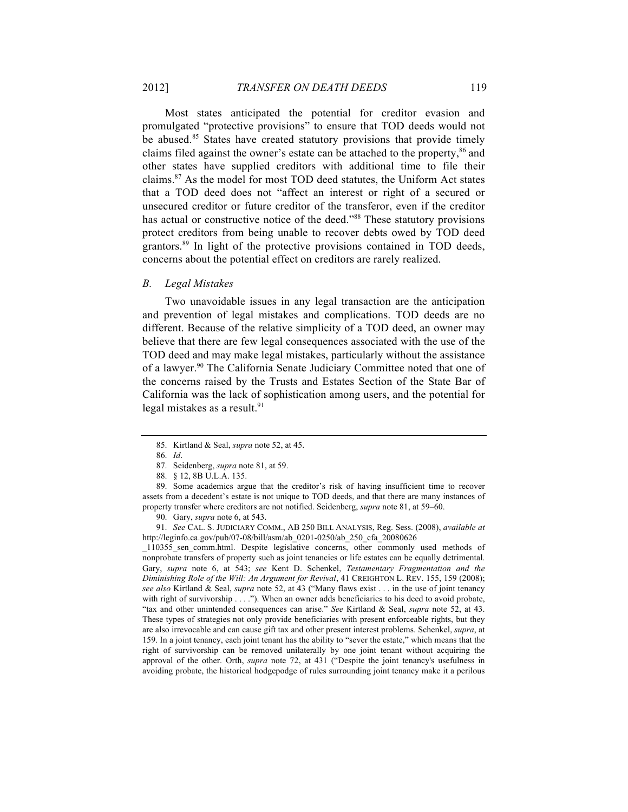Most states anticipated the potential for creditor evasion and promulgated "protective provisions" to ensure that TOD deeds would not be abused.<sup>85</sup> States have created statutory provisions that provide timely claims filed against the owner's estate can be attached to the property,<sup>86</sup> and other states have supplied creditors with additional time to file their claims.87 As the model for most TOD deed statutes, the Uniform Act states that a TOD deed does not "affect an interest or right of a secured or unsecured creditor or future creditor of the transferor, even if the creditor has actual or constructive notice of the deed."<sup>88</sup> These statutory provisions protect creditors from being unable to recover debts owed by TOD deed grantors.<sup>89</sup> In light of the protective provisions contained in TOD deeds, concerns about the potential effect on creditors are rarely realized.

#### *B. Legal Mistakes*

Two unavoidable issues in any legal transaction are the anticipation and prevention of legal mistakes and complications. TOD deeds are no different. Because of the relative simplicity of a TOD deed, an owner may believe that there are few legal consequences associated with the use of the TOD deed and may make legal mistakes, particularly without the assistance of a lawyer.<sup>90</sup> The California Senate Judiciary Committee noted that one of the concerns raised by the Trusts and Estates Section of the State Bar of California was the lack of sophistication among users, and the potential for legal mistakes as a result. 91

\_110355\_sen\_comm.html. Despite legislative concerns, other commonly used methods of nonprobate transfers of property such as joint tenancies or life estates can be equally detrimental. Gary, *supra* note 6, at 543; *see* Kent D. Schenkel, *Testamentary Fragmentation and the Diminishing Role of the Will: An Argument for Revival*, 41 CREIGHTON L. REV. 155, 159 (2008); *see also* Kirtland & Seal, *supra* note 52, at 43 ("Many flaws exist . . . in the use of joint tenancy with right of survivorship . . . ."). When an owner adds beneficiaries to his deed to avoid probate, "tax and other unintended consequences can arise." *See* Kirtland & Seal, *supra* note 52, at 43. These types of strategies not only provide beneficiaries with present enforceable rights, but they are also irrevocable and can cause gift tax and other present interest problems. Schenkel, *supra*, at 159. In a joint tenancy, each joint tenant has the ability to "sever the estate," which means that the right of survivorship can be removed unilaterally by one joint tenant without acquiring the approval of the other. Orth, *supra* note 72, at 431 ("Despite the joint tenancy's usefulness in avoiding probate, the historical hodgepodge of rules surrounding joint tenancy make it a perilous

<sup>85.</sup> Kirtland & Seal, *supra* note 52, at 45.

<sup>86.</sup> *Id*.

<sup>87.</sup> Seidenberg, *supra* note 81, at 59.

<sup>88.</sup> § 12, 8B U.L.A. 135.

<sup>89.</sup> Some academics argue that the creditor's risk of having insufficient time to recover assets from a decedent's estate is not unique to TOD deeds, and that there are many instances of property transfer where creditors are not notified. Seidenberg, *supra* note 81, at 59–60.

<sup>90.</sup> Gary, *supra* note 6, at 543.

<sup>91.</sup> *See* CAL. S. JUDICIARY COMM., AB 250 BILL ANALYSIS, Reg. Sess. (2008), *available at* http://leginfo.ca.gov/pub/07-08/bill/asm/ab\_0201-0250/ab\_250\_cfa\_20080626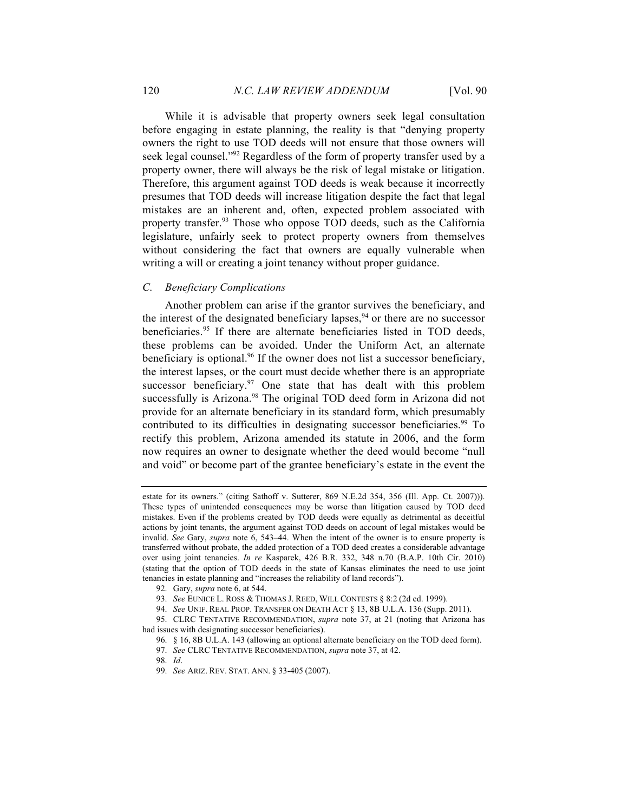While it is advisable that property owners seek legal consultation before engaging in estate planning, the reality is that "denying property owners the right to use TOD deeds will not ensure that those owners will seek legal counsel."<sup>92</sup> Regardless of the form of property transfer used by a property owner, there will always be the risk of legal mistake or litigation. Therefore, this argument against TOD deeds is weak because it incorrectly presumes that TOD deeds will increase litigation despite the fact that legal mistakes are an inherent and, often, expected problem associated with property transfer.<sup>93</sup> Those who oppose TOD deeds, such as the California legislature, unfairly seek to protect property owners from themselves without considering the fact that owners are equally vulnerable when writing a will or creating a joint tenancy without proper guidance.

## *C. Beneficiary Complications*

Another problem can arise if the grantor survives the beneficiary, and the interest of the designated beneficiary lapses,  $94$  or there are no successor beneficiaries.<sup>95</sup> If there are alternate beneficiaries listed in TOD deeds, these problems can be avoided. Under the Uniform Act, an alternate beneficiary is optional.<sup>96</sup> If the owner does not list a successor beneficiary, the interest lapses, or the court must decide whether there is an appropriate successor beneficiary. $97$  One state that has dealt with this problem successfully is Arizona.<sup>98</sup> The original TOD deed form in Arizona did not provide for an alternate beneficiary in its standard form, which presumably contributed to its difficulties in designating successor beneficiaries.<sup>99</sup> To rectify this problem, Arizona amended its statute in 2006, and the form now requires an owner to designate whether the deed would become "null and void" or become part of the grantee beneficiary's estate in the event the

98. *Id*.

estate for its owners." (citing Sathoff v. Sutterer, 869 N.E.2d 354, 356 (Ill. App. Ct. 2007))). These types of unintended consequences may be worse than litigation caused by TOD deed mistakes. Even if the problems created by TOD deeds were equally as detrimental as deceitful actions by joint tenants, the argument against TOD deeds on account of legal mistakes would be invalid. *See* Gary, *supra* note 6, 543–44. When the intent of the owner is to ensure property is transferred without probate, the added protection of a TOD deed creates a considerable advantage over using joint tenancies. *In re* Kasparek, 426 B.R. 332, 348 n.70 (B.A.P. 10th Cir. 2010) (stating that the option of TOD deeds in the state of Kansas eliminates the need to use joint tenancies in estate planning and "increases the reliability of land records").

<sup>92.</sup> Gary, *supra* note 6, at 544.

<sup>93.</sup> *See* EUNICE L. ROSS & THOMAS J. REED, WILL CONTESTS § 8:2 (2d ed. 1999).

<sup>94.</sup> *See* UNIF. REAL PROP. TRANSFER ON DEATH ACT § 13, 8B U.L.A. 136 (Supp. 2011).

<sup>95.</sup> CLRC TENTATIVE RECOMMENDATION, *supra* note 37, at 21 (noting that Arizona has had issues with designating successor beneficiaries).

<sup>96.</sup> § 16, 8B U.L.A. 143 (allowing an optional alternate beneficiary on the TOD deed form).

<sup>97.</sup> *See* CLRC TENTATIVE RECOMMENDATION, *supra* note 37, at 42.

<sup>99.</sup> *See* ARIZ. REV. STAT. ANN. § 33-405 (2007).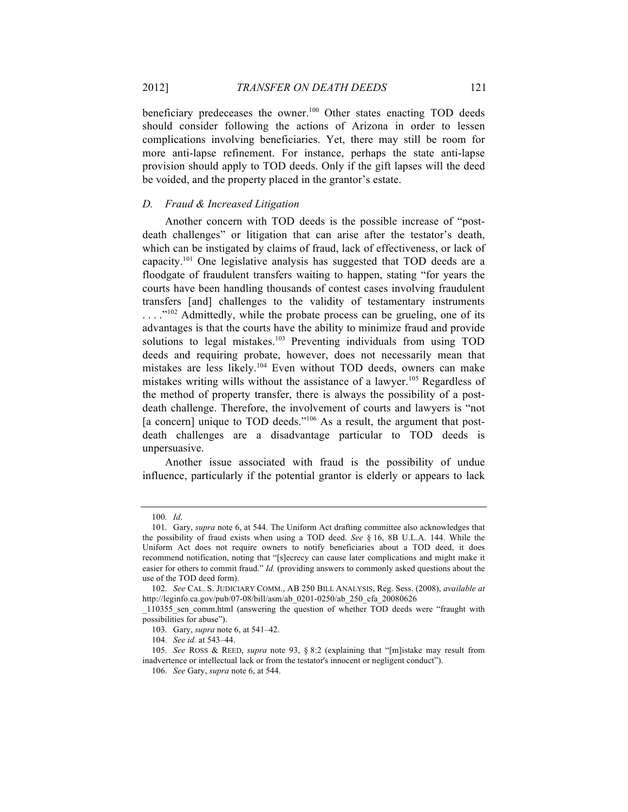beneficiary predeceases the owner.<sup>100</sup> Other states enacting TOD deeds should consider following the actions of Arizona in order to lessen complications involving beneficiaries. Yet, there may still be room for more anti-lapse refinement. For instance, perhaps the state anti-lapse provision should apply to TOD deeds. Only if the gift lapses will the deed be voided, and the property placed in the grantor's estate.

## *D. Fraud & Increased Litigation*

Another concern with TOD deeds is the possible increase of "postdeath challenges" or litigation that can arise after the testator's death, which can be instigated by claims of fraud, lack of effectiveness, or lack of capacity.101 One legislative analysis has suggested that TOD deeds are a floodgate of fraudulent transfers waiting to happen, stating "for years the courts have been handling thousands of contest cases involving fraudulent transfers [and] challenges to the validity of testamentary instruments ...."<sup>102</sup> Admittedly, while the probate process can be grueling, one of its advantages is that the courts have the ability to minimize fraud and provide solutions to legal mistakes.<sup>103</sup> Preventing individuals from using TOD deeds and requiring probate, however, does not necessarily mean that mistakes are less likely.104 Even without TOD deeds, owners can make mistakes writing wills without the assistance of a lawyer.<sup>105</sup> Regardless of the method of property transfer, there is always the possibility of a postdeath challenge. Therefore, the involvement of courts and lawyers is "not [a concern] unique to TOD deeds."<sup>106</sup> As a result, the argument that postdeath challenges are a disadvantage particular to TOD deeds is unpersuasive.

Another issue associated with fraud is the possibility of undue influence, particularly if the potential grantor is elderly or appears to lack

<sup>100.</sup> *Id*.

<sup>101.</sup> Gary, *supra* note 6, at 544. The Uniform Act drafting committee also acknowledges that the possibility of fraud exists when using a TOD deed. *See* § 16, 8B U.L.A. 144. While the Uniform Act does not require owners to notify beneficiaries about a TOD deed, it does recommend notification, noting that "[s]ecrecy can cause later complications and might make it easier for others to commit fraud." *Id.* (providing answers to commonly asked questions about the use of the TOD deed form).

<sup>102.</sup> *See* CAL. S. JUDICIARY COMM., AB 250 BILL ANALYSIS, Reg. Sess. (2008), *available at*  http://leginfo.ca.gov/pub/07-08/bill/asm/ab\_0201-0250/ab\_250\_cfa\_20080626

\_110355\_sen\_comm.html (answering the question of whether TOD deeds were "fraught with possibilities for abuse").

<sup>103.</sup> Gary, *supra* note 6, at 541–42.

<sup>104.</sup> *See id.* at 543–44.

<sup>105.</sup> *See* ROSS & REED, *supra* note 93, § 8:2 (explaining that "[m]istake may result from inadvertence or intellectual lack or from the testator's innocent or negligent conduct").

<sup>106.</sup> *See* Gary, *supra* note 6, at 544.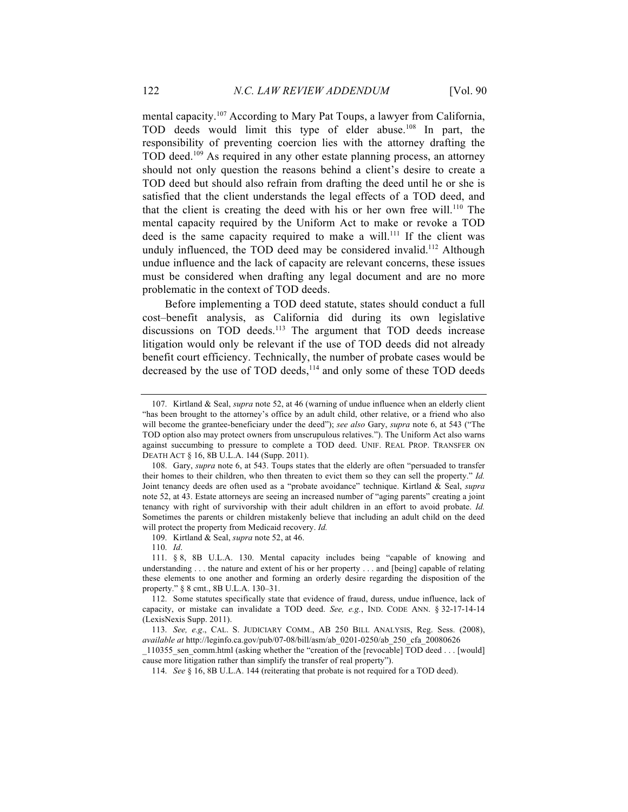mental capacity.<sup>107</sup> According to Mary Pat Toups, a lawyer from California, TOD deeds would limit this type of elder abuse.108 In part, the responsibility of preventing coercion lies with the attorney drafting the TOD deed.<sup>109</sup> As required in any other estate planning process, an attorney should not only question the reasons behind a client's desire to create a TOD deed but should also refrain from drafting the deed until he or she is satisfied that the client understands the legal effects of a TOD deed, and that the client is creating the deed with his or her own free will.<sup>110</sup> The mental capacity required by the Uniform Act to make or revoke a TOD deed is the same capacity required to make a will.<sup>111</sup> If the client was unduly influenced, the TOD deed may be considered invalid.<sup>112</sup> Although undue influence and the lack of capacity are relevant concerns, these issues must be considered when drafting any legal document and are no more problematic in the context of TOD deeds.

Before implementing a TOD deed statute, states should conduct a full cost–benefit analysis, as California did during its own legislative discussions on TOD deeds.<sup>113</sup> The argument that TOD deeds increase litigation would only be relevant if the use of TOD deeds did not already benefit court efficiency. Technically, the number of probate cases would be decreased by the use of TOD deeds,<sup>114</sup> and only some of these TOD deeds

109. Kirtland & Seal, *supra* note 52, at 46.

110. *Id*.

<sup>107.</sup> Kirtland & Seal, *supra* note 52, at 46 (warning of undue influence when an elderly client "has been brought to the attorney's office by an adult child, other relative, or a friend who also will become the grantee-beneficiary under the deed"); *see also* Gary, *supra* note 6, at 543 ("The TOD option also may protect owners from unscrupulous relatives."). The Uniform Act also warns against succumbing to pressure to complete a TOD deed. UNIF. REAL PROP. TRANSFER ON DEATH ACT § 16, 8B U.L.A. 144 (Supp. 2011).

<sup>108.</sup> Gary, *supra* note 6, at 543. Toups states that the elderly are often "persuaded to transfer their homes to their children, who then threaten to evict them so they can sell the property." *Id.*  Joint tenancy deeds are often used as a "probate avoidance" technique. Kirtland & Seal, *supra* note 52, at 43. Estate attorneys are seeing an increased number of "aging parents" creating a joint tenancy with right of survivorship with their adult children in an effort to avoid probate. *Id.* Sometimes the parents or children mistakenly believe that including an adult child on the deed will protect the property from Medicaid recovery. *Id.*

<sup>111.</sup> § 8, 8B U.L.A. 130. Mental capacity includes being "capable of knowing and understanding . . . the nature and extent of his or her property . . . and [being] capable of relating these elements to one another and forming an orderly desire regarding the disposition of the property." § 8 cmt., 8B U.L.A. 130–31.

<sup>112.</sup> Some statutes specifically state that evidence of fraud, duress, undue influence, lack of capacity, or mistake can invalidate a TOD deed. *See, e.g.*, IND. CODE ANN. § 32-17-14-14 (LexisNexis Supp. 2011).

<sup>113.</sup> *See, e.g*., CAL. S. JUDICIARY COMM., AB 250 BILL ANALYSIS, Reg. Sess. (2008), *available at* http://leginfo.ca.gov/pub/07-08/bill/asm/ab\_0201-0250/ab\_250\_cfa\_20080626

\_110355\_sen\_comm.html (asking whether the "creation of the [revocable] TOD deed . . . [would] cause more litigation rather than simplify the transfer of real property").

<sup>114.</sup> *See* § 16, 8B U.L.A. 144 (reiterating that probate is not required for a TOD deed).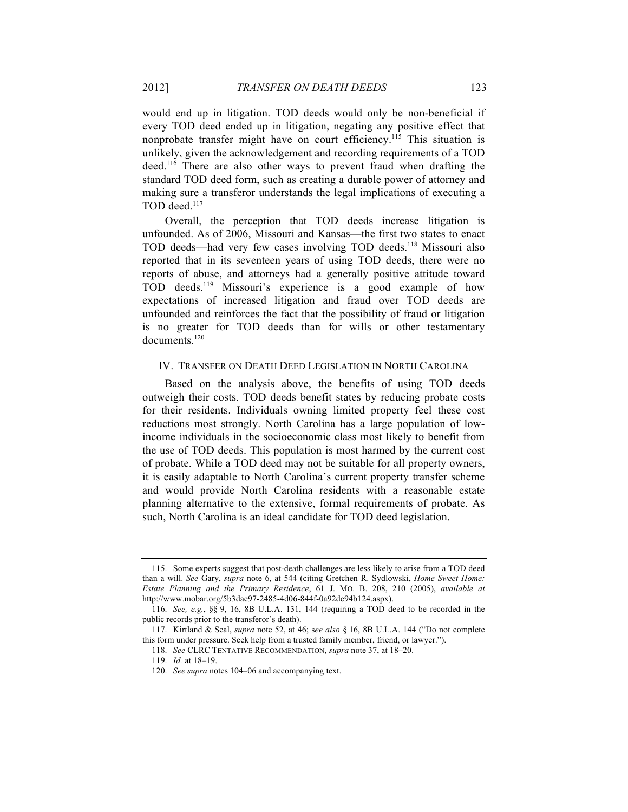would end up in litigation. TOD deeds would only be non-beneficial if every TOD deed ended up in litigation, negating any positive effect that nonprobate transfer might have on court efficiency.115 This situation is unlikely, given the acknowledgement and recording requirements of a TOD deed.116 There are also other ways to prevent fraud when drafting the standard TOD deed form, such as creating a durable power of attorney and making sure a transferor understands the legal implications of executing a TOD deed.<sup>117</sup>

Overall, the perception that TOD deeds increase litigation is unfounded. As of 2006, Missouri and Kansas—the first two states to enact TOD deeds—had very few cases involving TOD deeds.118 Missouri also reported that in its seventeen years of using TOD deeds, there were no reports of abuse, and attorneys had a generally positive attitude toward TOD deeds.119 Missouri's experience is a good example of how expectations of increased litigation and fraud over TOD deeds are unfounded and reinforces the fact that the possibility of fraud or litigation is no greater for TOD deeds than for wills or other testamentary documents.120

### IV. TRANSFER ON DEATH DEED LEGISLATION IN NORTH CAROLINA

Based on the analysis above, the benefits of using TOD deeds outweigh their costs. TOD deeds benefit states by reducing probate costs for their residents. Individuals owning limited property feel these cost reductions most strongly. North Carolina has a large population of lowincome individuals in the socioeconomic class most likely to benefit from the use of TOD deeds. This population is most harmed by the current cost of probate. While a TOD deed may not be suitable for all property owners, it is easily adaptable to North Carolina's current property transfer scheme and would provide North Carolina residents with a reasonable estate planning alternative to the extensive, formal requirements of probate. As such, North Carolina is an ideal candidate for TOD deed legislation.

<sup>115.</sup> Some experts suggest that post-death challenges are less likely to arise from a TOD deed than a will. *See* Gary, *supra* note 6, at 544 (citing Gretchen R. Sydlowski, *Home Sweet Home: Estate Planning and the Primary Residence*, 61 J. MO. B. 208, 210 (2005), *available at* http://www.mobar.org/5b3dae97-2485-4d06-844f-0a92dc94b124.aspx).

<sup>116.</sup> *See, e.g.*, §§ 9, 16, 8B U.L.A. 131, 144 (requiring a TOD deed to be recorded in the public records prior to the transferor's death).

<sup>117.</sup> Kirtland & Seal, *supra* note 52, at 46; s*ee also* § 16, 8B U.L.A. 144 ("Do not complete this form under pressure. Seek help from a trusted family member, friend, or lawyer.").

<sup>118.</sup> *See* CLRC TENTATIVE RECOMMENDATION, *supra* note 37, at 18–20.

<sup>119.</sup> *Id.* at 18–19.

<sup>120.</sup> *See supra* notes 104–06 and accompanying text.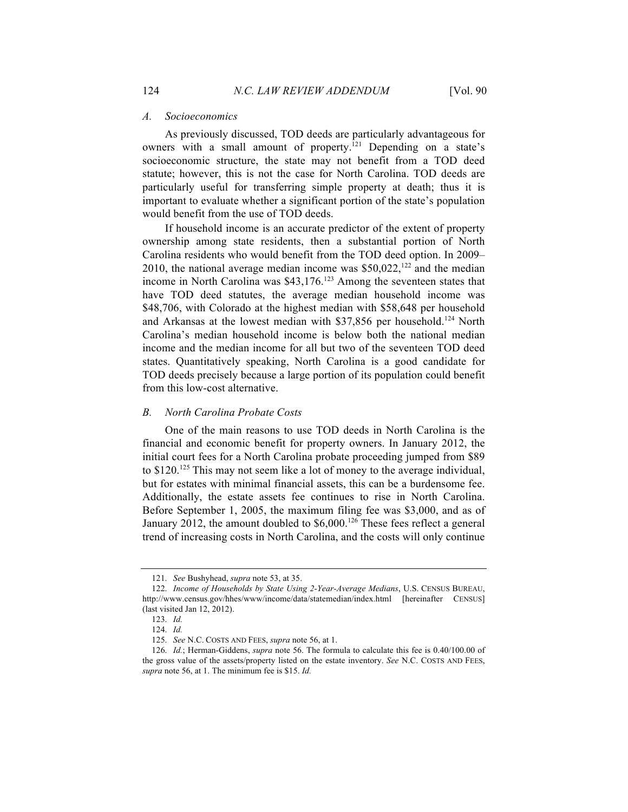#### *A. Socioeconomics*

As previously discussed, TOD deeds are particularly advantageous for owners with a small amount of property.<sup> $[21]$ </sup> Depending on a state's socioeconomic structure, the state may not benefit from a TOD deed statute; however, this is not the case for North Carolina. TOD deeds are particularly useful for transferring simple property at death; thus it is important to evaluate whether a significant portion of the state's population would benefit from the use of TOD deeds.

If household income is an accurate predictor of the extent of property ownership among state residents, then a substantial portion of North Carolina residents who would benefit from the TOD deed option. In 2009– 2010, the national average median income was  $$50,022$ ,<sup>122</sup> and the median income in North Carolina was \$43,176. <sup>123</sup> Among the seventeen states that have TOD deed statutes, the average median household income was \$48,706, with Colorado at the highest median with \$58,648 per household and Arkansas at the lowest median with \$37,856 per household.<sup>124</sup> North Carolina's median household income is below both the national median income and the median income for all but two of the seventeen TOD deed states. Quantitatively speaking, North Carolina is a good candidate for TOD deeds precisely because a large portion of its population could benefit from this low-cost alternative.

## *B. North Carolina Probate Costs*

One of the main reasons to use TOD deeds in North Carolina is the financial and economic benefit for property owners. In January 2012, the initial court fees for a North Carolina probate proceeding jumped from \$89 to \$120.<sup>125</sup> This may not seem like a lot of money to the average individual, but for estates with minimal financial assets, this can be a burdensome fee. Additionally, the estate assets fee continues to rise in North Carolina. Before September 1, 2005, the maximum filing fee was \$3,000, and as of January 2012, the amount doubled to \$6,000.<sup>126</sup> These fees reflect a general trend of increasing costs in North Carolina, and the costs will only continue

<sup>121.</sup> *See* Bushyhead, *supra* note 53, at 35.

<sup>122.</sup> *Income of Households by State Using 2-Year-Average Medians*, U.S. CENSUS BUREAU, http://www.census.gov/hhes/www/income/data/statemedian/index.html [hereinafter CENSUS] (last visited Jan 12, 2012).

<sup>123.</sup> *Id.*

<sup>124.</sup> *Id.*

<sup>125.</sup> *See* N.C. COSTS AND FEES, *supra* note 56, at 1.

<sup>126.</sup> *Id.*; Herman-Giddens, *supra* note 56. The formula to calculate this fee is 0.40/100.00 of the gross value of the assets/property listed on the estate inventory. *See* N.C. COSTS AND FEES, *supra* note 56, at 1. The minimum fee is \$15. *Id.*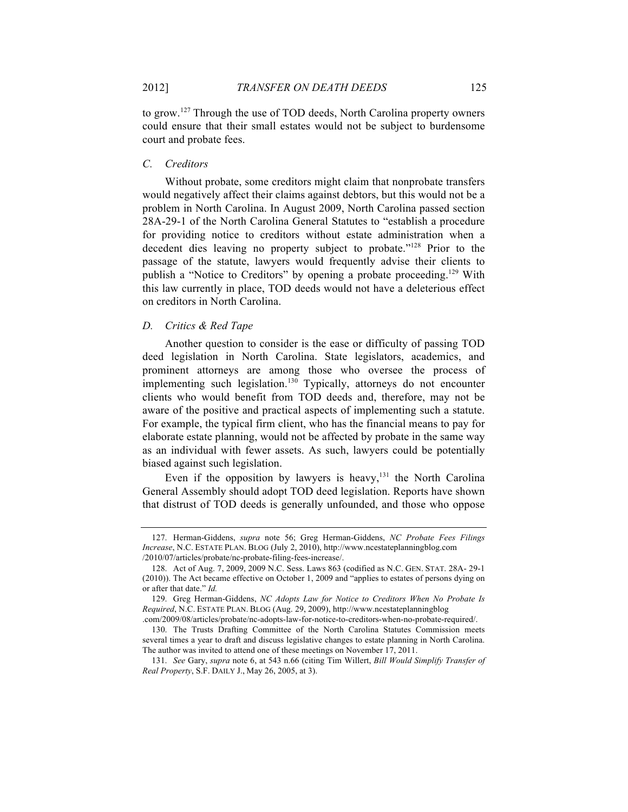to grow.127 Through the use of TOD deeds, North Carolina property owners could ensure that their small estates would not be subject to burdensome court and probate fees.

## *C. Creditors*

Without probate, some creditors might claim that nonprobate transfers would negatively affect their claims against debtors, but this would not be a problem in North Carolina. In August 2009, North Carolina passed section 28A-29-1 of the North Carolina General Statutes to "establish a procedure for providing notice to creditors without estate administration when a decedent dies leaving no property subject to probate."128 Prior to the passage of the statute, lawyers would frequently advise their clients to publish a "Notice to Creditors" by opening a probate proceeding.<sup>129</sup> With this law currently in place, TOD deeds would not have a deleterious effect on creditors in North Carolina.

## *D. Critics & Red Tape*

Another question to consider is the ease or difficulty of passing TOD deed legislation in North Carolina. State legislators, academics, and prominent attorneys are among those who oversee the process of implementing such legislation. <sup>130</sup> Typically, attorneys do not encounter clients who would benefit from TOD deeds and, therefore, may not be aware of the positive and practical aspects of implementing such a statute. For example, the typical firm client, who has the financial means to pay for elaborate estate planning, would not be affected by probate in the same way as an individual with fewer assets. As such, lawyers could be potentially biased against such legislation.

Even if the opposition by lawyers is heavy,<sup>131</sup> the North Carolina General Assembly should adopt TOD deed legislation. Reports have shown that distrust of TOD deeds is generally unfounded, and those who oppose

<sup>127.</sup> Herman-Giddens, *supra* note 56; Greg Herman-Giddens, *NC Probate Fees Filings Increase*, N.C. ESTATE PLAN. BLOG (July 2, 2010), http://www.ncestateplanningblog.com /2010/07/articles/probate/nc-probate-filing-fees-increase/.

<sup>128.</sup> Act of Aug. 7, 2009, 2009 N.C. Sess. Laws 863 (codified as N.C. GEN. STAT. 28A- 29-1 (2010)). The Act became effective on October 1, 2009 and "applies to estates of persons dying on or after that date." *Id.*

<sup>129.</sup> Greg Herman-Giddens, *NC Adopts Law for Notice to Creditors When No Probate Is Required*, N.C. ESTATE PLAN. BLOG (Aug. 29, 2009), http://www.ncestateplanningblog

<sup>.</sup>com/2009/08/articles/probate/nc-adopts-law-for-notice-to-creditors-when-no-probate-required/. 130. The Trusts Drafting Committee of the North Carolina Statutes Commission meets several times a year to draft and discuss legislative changes to estate planning in North Carolina.

The author was invited to attend one of these meetings on November 17, 2011.

<sup>131.</sup> *See* Gary, *supra* note 6, at 543 n.66 (citing Tim Willert, *Bill Would Simplify Transfer of Real Property*, S.F. DAILY J., May 26, 2005, at 3).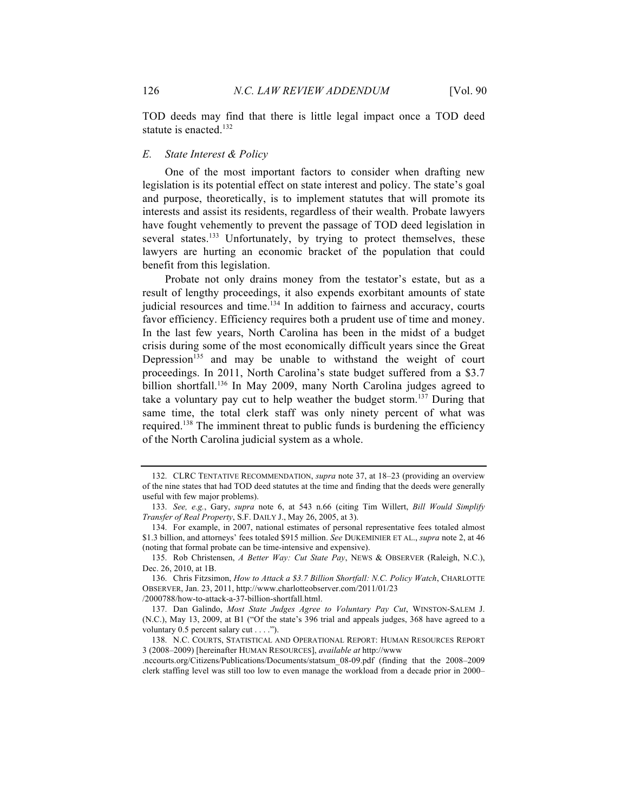TOD deeds may find that there is little legal impact once a TOD deed statute is enacted.<sup>132</sup>

#### *E. State Interest & Policy*

One of the most important factors to consider when drafting new legislation is its potential effect on state interest and policy. The state's goal and purpose, theoretically, is to implement statutes that will promote its interests and assist its residents, regardless of their wealth. Probate lawyers have fought vehemently to prevent the passage of TOD deed legislation in several states.<sup>133</sup> Unfortunately, by trying to protect themselves, these lawyers are hurting an economic bracket of the population that could benefit from this legislation.

Probate not only drains money from the testator's estate, but as a result of lengthy proceedings, it also expends exorbitant amounts of state judicial resources and time.<sup>134</sup> In addition to fairness and accuracy, courts favor efficiency. Efficiency requires both a prudent use of time and money. In the last few years, North Carolina has been in the midst of a budget crisis during some of the most economically difficult years since the Great Depression<sup>135</sup> and may be unable to withstand the weight of court proceedings. In 2011, North Carolina's state budget suffered from a \$3.7 billion shortfall.<sup>136</sup> In May 2009, many North Carolina judges agreed to take a voluntary pay cut to help weather the budget storm.<sup>137</sup> During that same time, the total clerk staff was only ninety percent of what was required.138 The imminent threat to public funds is burdening the efficiency of the North Carolina judicial system as a whole.

<sup>132.</sup> CLRC TENTATIVE RECOMMENDATION, *supra* note 37, at 18–23 (providing an overview of the nine states that had TOD deed statutes at the time and finding that the deeds were generally useful with few major problems).

<sup>133.</sup> *See, e.g.*, Gary, *supra* note 6, at 543 n.66 (citing Tim Willert, *Bill Would Simplify Transfer of Real Property*, S.F. DAILY J., May 26, 2005, at 3).

<sup>134.</sup> For example, in 2007, national estimates of personal representative fees totaled almost \$1.3 billion, and attorneys' fees totaled \$915 million. *See* DUKEMINIER ET AL., *supra* note 2, at 46 (noting that formal probate can be time-intensive and expensive).

<sup>135.</sup> Rob Christensen, *A Better Way: Cut State Pay*, NEWS & OBSERVER (Raleigh, N.C.), Dec. 26, 2010, at 1B.

<sup>136.</sup> Chris Fitzsimon, *How to Attack a \$3.7 Billion Shortfall: N.C. Policy Watch*, CHARLOTTE OBSERVER, Jan. 23, 2011, http://www.charlotteobserver.com/2011/01/23 /2000788/how-to-attack-a-37-billion-shortfall.html.

<sup>137.</sup> Dan Galindo, *Most State Judges Agree to Voluntary Pay Cut*, WINSTON-SALEM J. (N.C.), May 13, 2009, at B1 ("Of the state's 396 trial and appeals judges, 368 have agreed to a voluntary 0.5 percent salary cut . . . .").

<sup>138.</sup> N.C. COURTS, STATISTICAL AND OPERATIONAL REPORT: HUMAN RESOURCES REPORT 3 (2008–2009) [hereinafter HUMAN RESOURCES], *available at* http://www

<sup>.</sup>nccourts.org/Citizens/Publications/Documents/statsum\_08-09.pdf (finding that the 2008–2009 clerk staffing level was still too low to even manage the workload from a decade prior in 2000–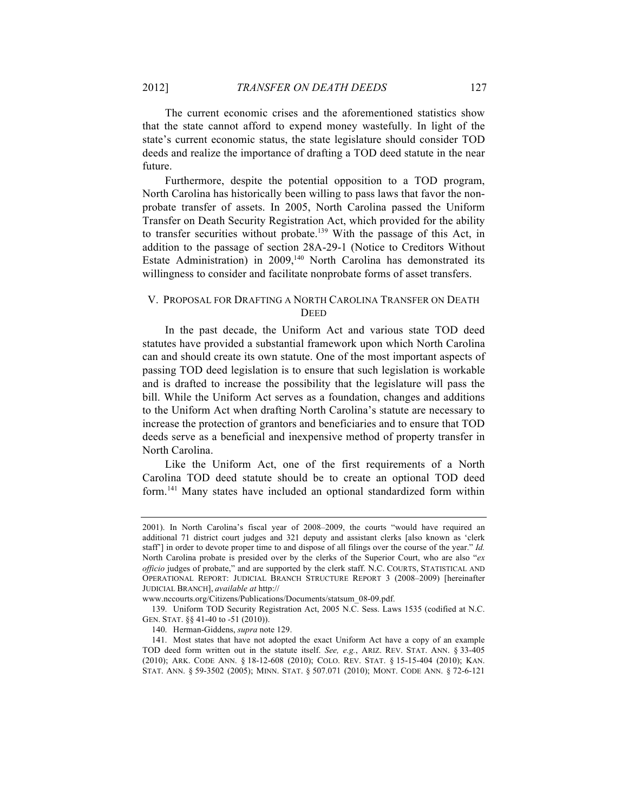The current economic crises and the aforementioned statistics show that the state cannot afford to expend money wastefully. In light of the state's current economic status, the state legislature should consider TOD deeds and realize the importance of drafting a TOD deed statute in the near future.

Furthermore, despite the potential opposition to a TOD program, North Carolina has historically been willing to pass laws that favor the nonprobate transfer of assets. In 2005, North Carolina passed the Uniform Transfer on Death Security Registration Act, which provided for the ability to transfer securities without probate.<sup>139</sup> With the passage of this Act, in addition to the passage of section 28A-29-1 (Notice to Creditors Without Estate Administration) in  $2009$ ,<sup>140</sup> North Carolina has demonstrated its willingness to consider and facilitate nonprobate forms of asset transfers.

## V. PROPOSAL FOR DRAFTING A NORTH CAROLINA TRANSFER ON DEATH **DEED**

In the past decade, the Uniform Act and various state TOD deed statutes have provided a substantial framework upon which North Carolina can and should create its own statute. One of the most important aspects of passing TOD deed legislation is to ensure that such legislation is workable and is drafted to increase the possibility that the legislature will pass the bill. While the Uniform Act serves as a foundation, changes and additions to the Uniform Act when drafting North Carolina's statute are necessary to increase the protection of grantors and beneficiaries and to ensure that TOD deeds serve as a beneficial and inexpensive method of property transfer in North Carolina.

Like the Uniform Act, one of the first requirements of a North Carolina TOD deed statute should be to create an optional TOD deed form.141 Many states have included an optional standardized form within

<sup>2001).</sup> In North Carolina's fiscal year of 2008–2009, the courts "would have required an additional 71 district court judges and 321 deputy and assistant clerks [also known as 'clerk staff'] in order to devote proper time to and dispose of all filings over the course of the year." *Id.*  North Carolina probate is presided over by the clerks of the Superior Court, who are also "*ex officio* judges of probate," and are supported by the clerk staff. N.C. COURTS, STATISTICAL AND OPERATIONAL REPORT: JUDICIAL BRANCH STRUCTURE REPORT 3 (2008–2009) [hereinafter JUDICIAL BRANCH], *available at* http://

www.nccourts.org/Citizens/Publications/Documents/statsum\_08-09.pdf.

<sup>139.</sup> Uniform TOD Security Registration Act, 2005 N.C. Sess. Laws 1535 (codified at N.C. GEN. STAT. §§ 41-40 to -51 (2010)).

<sup>140.</sup> Herman-Giddens, *supra* note 129.

<sup>141.</sup> Most states that have not adopted the exact Uniform Act have a copy of an example TOD deed form written out in the statute itself. *See, e.g.*, ARIZ. REV. STAT. ANN. § 33-405 (2010); ARK. CODE ANN. § 18-12-608 (2010); COLO. REV. STAT. § 15-15-404 (2010); KAN. STAT. ANN. § 59-3502 (2005); MINN. STAT. § 507.071 (2010); MONT. CODE ANN. § 72-6-121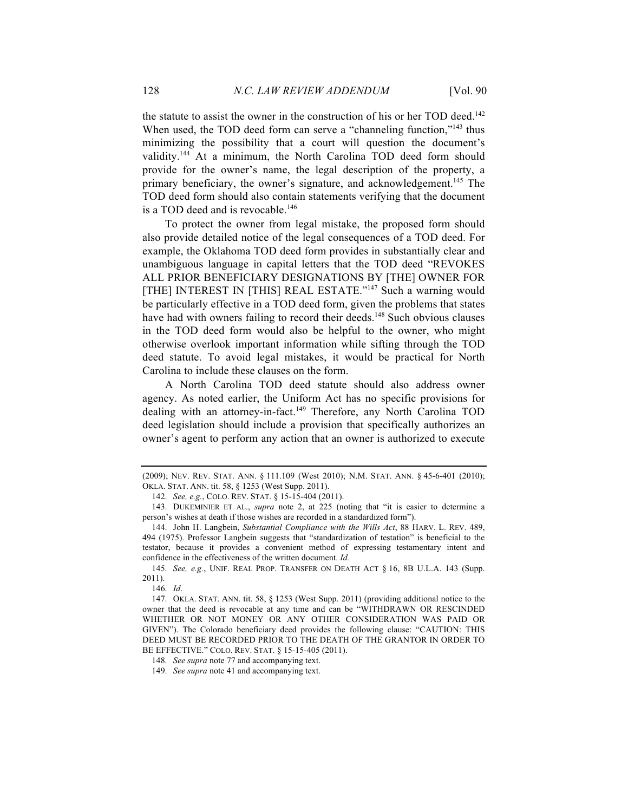the statute to assist the owner in the construction of his or her TOD deed.<sup>142</sup> When used, the TOD deed form can serve a "channeling function,"<sup>143</sup> thus minimizing the possibility that a court will question the document's validity.<sup>144</sup> At a minimum, the North Carolina TOD deed form should provide for the owner's name, the legal description of the property, a primary beneficiary, the owner's signature, and acknowledgement.<sup>145</sup> The TOD deed form should also contain statements verifying that the document is a TOD deed and is revocable.<sup>146</sup>

To protect the owner from legal mistake, the proposed form should also provide detailed notice of the legal consequences of a TOD deed. For example, the Oklahoma TOD deed form provides in substantially clear and unambiguous language in capital letters that the TOD deed "REVOKES ALL PRIOR BENEFICIARY DESIGNATIONS BY [THE] OWNER FOR [THE] INTEREST IN [THIS] REAL ESTATE."<sup>147</sup> Such a warning would be particularly effective in a TOD deed form, given the problems that states have had with owners failing to record their deeds.<sup>148</sup> Such obvious clauses in the TOD deed form would also be helpful to the owner, who might otherwise overlook important information while sifting through the TOD deed statute. To avoid legal mistakes, it would be practical for North Carolina to include these clauses on the form.

A North Carolina TOD deed statute should also address owner agency. As noted earlier, the Uniform Act has no specific provisions for dealing with an attorney-in-fact.<sup>149</sup> Therefore, any North Carolina TOD deed legislation should include a provision that specifically authorizes an owner's agent to perform any action that an owner is authorized to execute

145. *See, e.g.*, UNIF. REAL PROP. TRANSFER ON DEATH ACT § 16, 8B U.L.A. 143 (Supp. 2011).

146. *Id*.

<sup>(2009);</sup> NEV. REV. STAT. ANN. § 111.109 (West 2010); N.M. STAT. ANN. § 45-6-401 (2010); OKLA. STAT. ANN. tit. 58, § 1253 (West Supp. 2011).

<sup>142.</sup> *See, e.g.*, COLO. REV. STAT. § 15-15-404 (2011).

<sup>143.</sup> DUKEMINIER ET AL., *supra* note 2, at 225 (noting that "it is easier to determine a person's wishes at death if those wishes are recorded in a standardized form").

<sup>144.</sup> John H. Langbein, *Substantial Compliance with the Wills Act*, 88 HARV. L. REV. 489, 494 (1975). Professor Langbein suggests that "standardization of testation" is beneficial to the testator, because it provides a convenient method of expressing testamentary intent and confidence in the effectiveness of the written document. *Id.*

<sup>147.</sup> OKLA. STAT. ANN. tit. 58, § 1253 (West Supp. 2011) (providing additional notice to the owner that the deed is revocable at any time and can be "WITHDRAWN OR RESCINDED WHETHER OR NOT MONEY OR ANY OTHER CONSIDERATION WAS PAID OR GIVEN"). The Colorado beneficiary deed provides the following clause: "CAUTION: THIS DEED MUST BE RECORDED PRIOR TO THE DEATH OF THE GRANTOR IN ORDER TO BE EFFECTIVE." COLO. REV. STAT. § 15-15-405 (2011).

<sup>148.</sup> *See supra* note 77 and accompanying text.

<sup>149.</sup> *See supra* note 41 and accompanying text.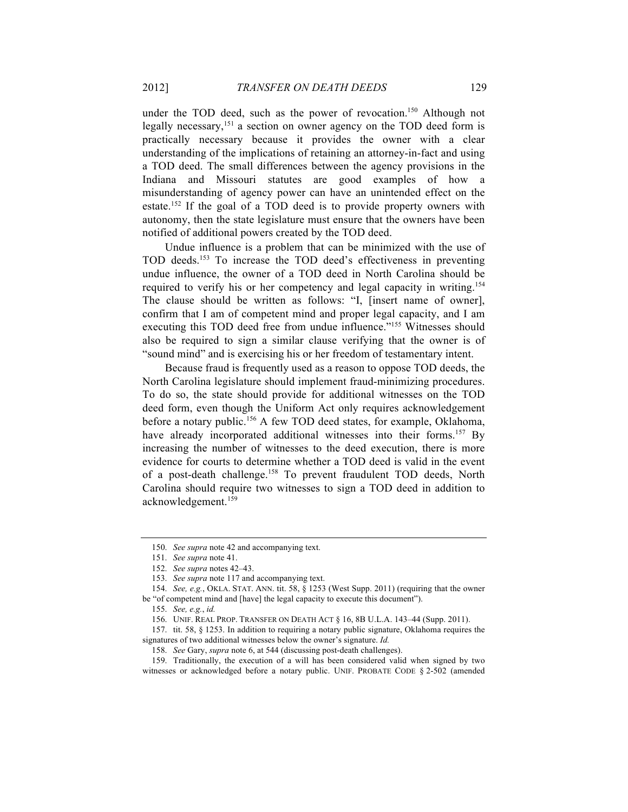under the TOD deed, such as the power of revocation.<sup>150</sup> Although not legally necessary,<sup>151</sup> a section on owner agency on the TOD deed form is practically necessary because it provides the owner with a clear understanding of the implications of retaining an attorney-in-fact and using a TOD deed. The small differences between the agency provisions in the Indiana and Missouri statutes are good examples of how a misunderstanding of agency power can have an unintended effect on the estate.<sup>152</sup> If the goal of a TOD deed is to provide property owners with autonomy, then the state legislature must ensure that the owners have been notified of additional powers created by the TOD deed.

Undue influence is a problem that can be minimized with the use of TOD deeds.153 To increase the TOD deed's effectiveness in preventing undue influence, the owner of a TOD deed in North Carolina should be required to verify his or her competency and legal capacity in writing.<sup>154</sup> The clause should be written as follows: "I, [insert name of owner], confirm that I am of competent mind and proper legal capacity, and I am executing this TOD deed free from undue influence."<sup>155</sup> Witnesses should also be required to sign a similar clause verifying that the owner is of "sound mind" and is exercising his or her freedom of testamentary intent.

Because fraud is frequently used as a reason to oppose TOD deeds, the North Carolina legislature should implement fraud-minimizing procedures. To do so, the state should provide for additional witnesses on the TOD deed form, even though the Uniform Act only requires acknowledgement before a notary public.<sup>156</sup> A few TOD deed states, for example, Oklahoma, have already incorporated additional witnesses into their forms.<sup>157</sup> By increasing the number of witnesses to the deed execution, there is more evidence for courts to determine whether a TOD deed is valid in the event of a post-death challenge.158 To prevent fraudulent TOD deeds, North Carolina should require two witnesses to sign a TOD deed in addition to acknowledgement.159

<sup>150.</sup> *See supra* note 42 and accompanying text.

<sup>151.</sup> *See supra* note 41.

<sup>152.</sup> *See supra* notes 42–43.

<sup>153.</sup> *See supra* note 117 and accompanying text.

<sup>154.</sup> *See, e.g.*, OKLA. STAT. ANN. tit. 58, § 1253 (West Supp. 2011) (requiring that the owner be "of competent mind and [have] the legal capacity to execute this document").

<sup>155.</sup> *See, e.g.*, *id.*

<sup>156.</sup> UNIF. REAL PROP. TRANSFER ON DEATH ACT § 16, 8B U.L.A. 143–44 (Supp. 2011).

<sup>157.</sup> tit. 58, § 1253. In addition to requiring a notary public signature, Oklahoma requires the signatures of two additional witnesses below the owner's signature. *Id.*

<sup>158.</sup> *See* Gary, *supra* note 6, at 544 (discussing post-death challenges).

<sup>159.</sup> Traditionally, the execution of a will has been considered valid when signed by two witnesses or acknowledged before a notary public. UNIF. PROBATE CODE § 2-502 (amended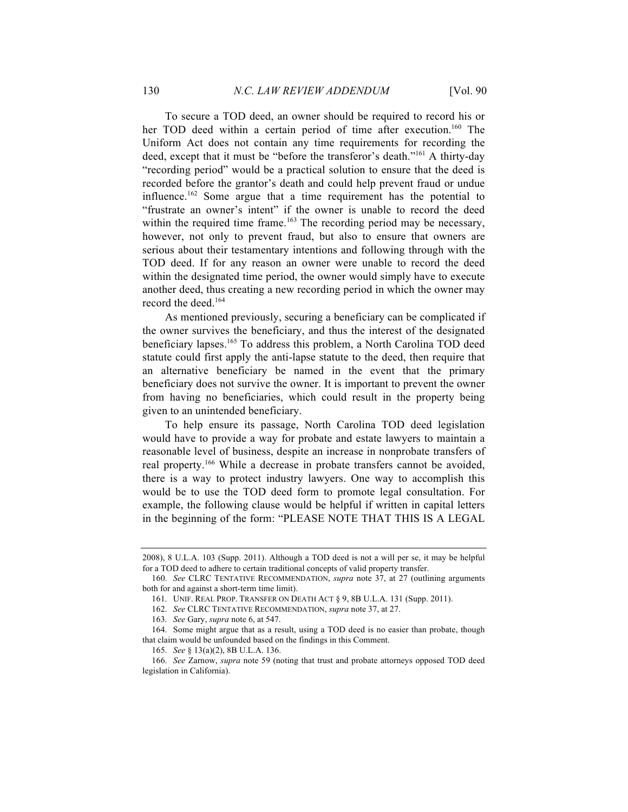To secure a TOD deed, an owner should be required to record his or her TOD deed within a certain period of time after execution.<sup>160</sup> The Uniform Act does not contain any time requirements for recording the deed, except that it must be "before the transferor's death."161 A thirty-day "recording period" would be a practical solution to ensure that the deed is recorded before the grantor's death and could help prevent fraud or undue influence.162 Some argue that a time requirement has the potential to "frustrate an owner's intent" if the owner is unable to record the deed within the required time frame.<sup>163</sup> The recording period may be necessary, however, not only to prevent fraud, but also to ensure that owners are serious about their testamentary intentions and following through with the TOD deed. If for any reason an owner were unable to record the deed within the designated time period, the owner would simply have to execute another deed, thus creating a new recording period in which the owner may record the deed.164

As mentioned previously, securing a beneficiary can be complicated if the owner survives the beneficiary, and thus the interest of the designated beneficiary lapses. <sup>165</sup> To address this problem, a North Carolina TOD deed statute could first apply the anti-lapse statute to the deed, then require that an alternative beneficiary be named in the event that the primary beneficiary does not survive the owner. It is important to prevent the owner from having no beneficiaries, which could result in the property being given to an unintended beneficiary.

To help ensure its passage, North Carolina TOD deed legislation would have to provide a way for probate and estate lawyers to maintain a reasonable level of business, despite an increase in nonprobate transfers of real property.166 While a decrease in probate transfers cannot be avoided, there is a way to protect industry lawyers. One way to accomplish this would be to use the TOD deed form to promote legal consultation. For example, the following clause would be helpful if written in capital letters in the beginning of the form: "PLEASE NOTE THAT THIS IS A LEGAL

<sup>2008), 8</sup> U.L.A. 103 (Supp. 2011). Although a TOD deed is not a will per se, it may be helpful for a TOD deed to adhere to certain traditional concepts of valid property transfer.

<sup>160.</sup> *See* CLRC TENTATIVE RECOMMENDATION, *supra* note 37, at 27 (outlining arguments both for and against a short-term time limit).

<sup>161.</sup> UNIF. REAL PROP. TRANSFER ON DEATH ACT § 9, 8B U.L.A. 131 (Supp. 2011).

<sup>162.</sup> *See* CLRC TENTATIVE RECOMMENDATION, *supra* note 37, at 27.

<sup>163.</sup> *See* Gary, *supra* note 6, at 547.

<sup>164.</sup> Some might argue that as a result, using a TOD deed is no easier than probate, though that claim would be unfounded based on the findings in this Comment.

<sup>165.</sup> *See* § 13(a)(2), 8B U.L.A. 136.

<sup>166.</sup> *See* Zarnow, *supra* note 59 (noting that trust and probate attorneys opposed TOD deed legislation in California).